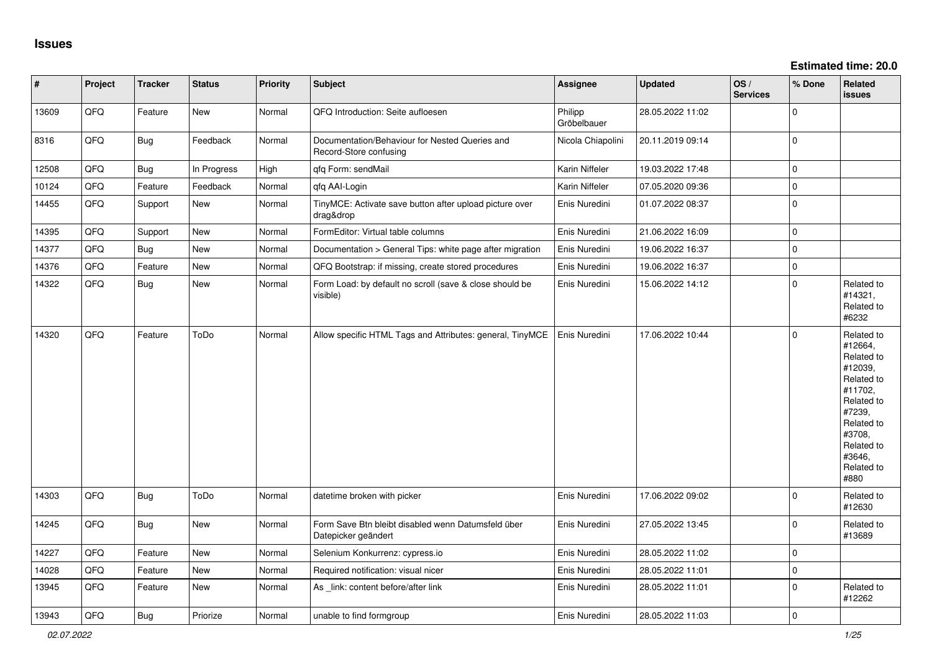| $\vert$ # | Project | <b>Tracker</b> | <b>Status</b> | <b>Priority</b> | <b>Subject</b>                                                            | Assignee               | <b>Updated</b>   | OS/<br><b>Services</b> | % Done      | Related<br>issues                                                                                                                                                     |
|-----------|---------|----------------|---------------|-----------------|---------------------------------------------------------------------------|------------------------|------------------|------------------------|-------------|-----------------------------------------------------------------------------------------------------------------------------------------------------------------------|
| 13609     | QFQ     | Feature        | <b>New</b>    | Normal          | QFQ Introduction: Seite aufloesen                                         | Philipp<br>Gröbelbauer | 28.05.2022 11:02 |                        | $\Omega$    |                                                                                                                                                                       |
| 8316      | QFQ     | <b>Bug</b>     | Feedback      | Normal          | Documentation/Behaviour for Nested Queries and<br>Record-Store confusing  | Nicola Chiapolini      | 20.11.2019 09:14 |                        | $\Omega$    |                                                                                                                                                                       |
| 12508     | QFQ     | <b>Bug</b>     | In Progress   | High            | qfq Form: sendMail                                                        | Karin Niffeler         | 19.03.2022 17:48 |                        | $\Omega$    |                                                                                                                                                                       |
| 10124     | QFQ     | Feature        | Feedback      | Normal          | gfg AAI-Login                                                             | Karin Niffeler         | 07.05.2020 09:36 |                        | $\mathbf 0$ |                                                                                                                                                                       |
| 14455     | QFQ     | Support        | <b>New</b>    | Normal          | TinyMCE: Activate save button after upload picture over<br>drag&drop      | Enis Nuredini          | 01.07.2022 08:37 |                        | $\Omega$    |                                                                                                                                                                       |
| 14395     | QFQ     | Support        | New           | Normal          | FormEditor: Virtual table columns                                         | Enis Nuredini          | 21.06.2022 16:09 |                        | $\Omega$    |                                                                                                                                                                       |
| 14377     | QFQ     | Bug            | <b>New</b>    | Normal          | Documentation > General Tips: white page after migration                  | Enis Nuredini          | 19.06.2022 16:37 |                        | $\Omega$    |                                                                                                                                                                       |
| 14376     | QFQ     | Feature        | New           | Normal          | QFQ Bootstrap: if missing, create stored procedures                       | Enis Nuredini          | 19.06.2022 16:37 |                        | $\mathbf 0$ |                                                                                                                                                                       |
| 14322     | QFQ     | <b>Bug</b>     | <b>New</b>    | Normal          | Form Load: by default no scroll (save & close should be<br>visible)       | Enis Nuredini          | 15.06.2022 14:12 |                        | $\Omega$    | Related to<br>#14321,<br>Related to<br>#6232                                                                                                                          |
| 14320     | QFQ     | Feature        | ToDo          | Normal          | Allow specific HTML Tags and Attributes: general, TinyMCE                 | Enis Nuredini          | 17.06.2022 10:44 |                        | $\Omega$    | Related to<br>#12664,<br>Related to<br>#12039,<br>Related to<br>#11702,<br>Related to<br>#7239,<br>Related to<br>#3708,<br>Related to<br>#3646.<br>Related to<br>#880 |
| 14303     | QFQ     | Bug            | ToDo          | Normal          | datetime broken with picker                                               | Enis Nuredini          | 17.06.2022 09:02 |                        | $\Omega$    | Related to<br>#12630                                                                                                                                                  |
| 14245     | QFQ     | <b>Bug</b>     | New           | Normal          | Form Save Btn bleibt disabled wenn Datumsfeld über<br>Datepicker geändert | Enis Nuredini          | 27.05.2022 13:45 |                        | $\Omega$    | Related to<br>#13689                                                                                                                                                  |
| 14227     | QFQ     | Feature        | New           | Normal          | Selenium Konkurrenz: cypress.io                                           | Enis Nuredini          | 28.05.2022 11:02 |                        | $\mathbf 0$ |                                                                                                                                                                       |
| 14028     | QFQ     | Feature        | New           | Normal          | Required notification: visual nicer                                       | Enis Nuredini          | 28.05.2022 11:01 |                        | $\mathbf 0$ |                                                                                                                                                                       |
| 13945     | QFQ     | Feature        | New           | Normal          | As _link: content before/after link                                       | Enis Nuredini          | 28.05.2022 11:01 |                        | $\Omega$    | Related to<br>#12262                                                                                                                                                  |
| 13943     | QFQ     | Bug            | Priorize      | Normal          | unable to find formgroup                                                  | Enis Nuredini          | 28.05.2022 11:03 |                        | $\mathbf 0$ |                                                                                                                                                                       |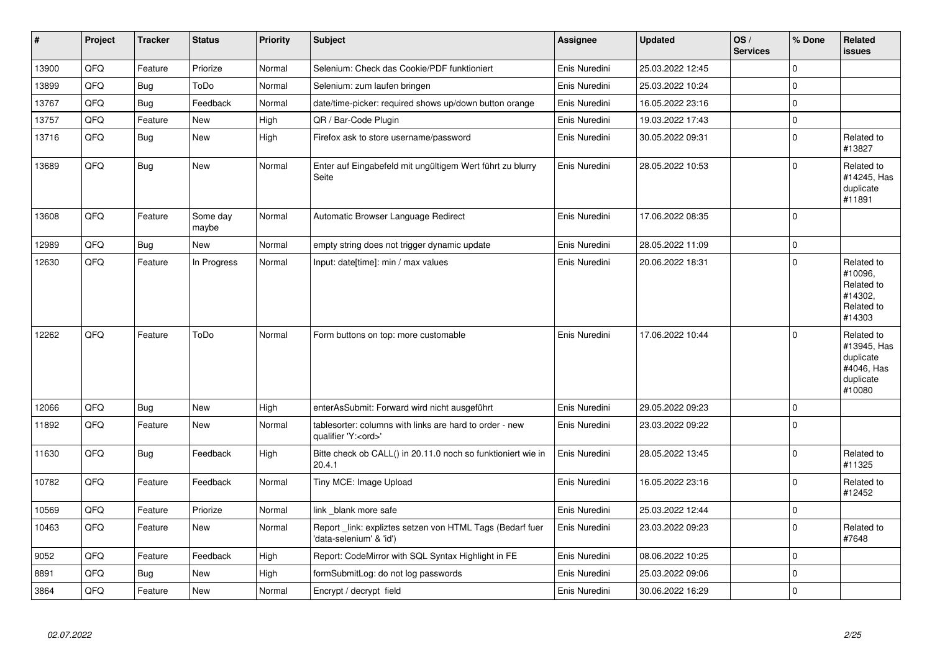| $\vert$ # | <b>Project</b> | <b>Tracker</b> | <b>Status</b>     | <b>Priority</b> | <b>Subject</b>                                                                        | <b>Assignee</b> | <b>Updated</b>   | OS/<br><b>Services</b> | % Done         | Related<br><b>issues</b>                                                    |
|-----------|----------------|----------------|-------------------|-----------------|---------------------------------------------------------------------------------------|-----------------|------------------|------------------------|----------------|-----------------------------------------------------------------------------|
| 13900     | QFQ            | Feature        | Priorize          | Normal          | Selenium: Check das Cookie/PDF funktioniert                                           | Enis Nuredini   | 25.03.2022 12:45 |                        | $\Omega$       |                                                                             |
| 13899     | QFQ            | <b>Bug</b>     | ToDo              | Normal          | Selenium: zum laufen bringen                                                          | Enis Nuredini   | 25.03.2022 10:24 |                        | 0              |                                                                             |
| 13767     | QFQ            | <b>Bug</b>     | Feedback          | Normal          | date/time-picker: required shows up/down button orange                                | Enis Nuredini   | 16.05.2022 23:16 |                        | $\Omega$       |                                                                             |
| 13757     | QFQ            | Feature        | New               | High            | QR / Bar-Code Plugin                                                                  | Enis Nuredini   | 19.03.2022 17:43 |                        | 0              |                                                                             |
| 13716     | QFQ            | Bug            | New               | High            | Firefox ask to store username/password                                                | Enis Nuredini   | 30.05.2022 09:31 |                        | $\overline{0}$ | Related to<br>#13827                                                        |
| 13689     | QFQ            | Bug            | New               | Normal          | Enter auf Eingabefeld mit ungültigem Wert führt zu blurry<br>Seite                    | Enis Nuredini   | 28.05.2022 10:53 |                        | 0              | Related to<br>#14245, Has<br>duplicate<br>#11891                            |
| 13608     | QFQ            | Feature        | Some day<br>maybe | Normal          | Automatic Browser Language Redirect                                                   | Enis Nuredini   | 17.06.2022 08:35 |                        | 0              |                                                                             |
| 12989     | QFQ            | Bug            | New               | Normal          | empty string does not trigger dynamic update                                          | Enis Nuredini   | 28.05.2022 11:09 |                        | 0              |                                                                             |
| 12630     | QFQ            | Feature        | In Progress       | Normal          | Input: date[time]: min / max values                                                   | Enis Nuredini   | 20.06.2022 18:31 |                        | 0              | Related to<br>#10096,<br>Related to<br>#14302,<br>Related to<br>#14303      |
| 12262     | QFQ            | Feature        | ToDo              | Normal          | Form buttons on top: more customable                                                  | Enis Nuredini   | 17.06.2022 10:44 |                        | 0              | Related to<br>#13945, Has<br>duplicate<br>#4046, Has<br>duplicate<br>#10080 |
| 12066     | QFQ            | Bug            | <b>New</b>        | High            | enterAsSubmit: Forward wird nicht ausgeführt                                          | Enis Nuredini   | 29.05.2022 09:23 |                        | 0              |                                                                             |
| 11892     | QFQ            | Feature        | New               | Normal          | tablesorter: columns with links are hard to order - new<br>qualifier 'Y: <ord>'</ord> | Enis Nuredini   | 23.03.2022 09:22 |                        | $\Omega$       |                                                                             |
| 11630     | QFQ            | Bug            | Feedback          | High            | Bitte check ob CALL() in 20.11.0 noch so funktioniert wie in<br>20.4.1                | Enis Nuredini   | 28.05.2022 13:45 |                        | $\Omega$       | Related to<br>#11325                                                        |
| 10782     | QFQ            | Feature        | Feedback          | Normal          | Tiny MCE: Image Upload                                                                | Enis Nuredini   | 16.05.2022 23:16 |                        | 0              | Related to<br>#12452                                                        |
| 10569     | QFQ            | Feature        | Priorize          | Normal          | link blank more safe                                                                  | Enis Nuredini   | 25.03.2022 12:44 |                        | 0              |                                                                             |
| 10463     | QFQ            | Feature        | New               | Normal          | Report_link: expliztes setzen von HTML Tags (Bedarf fuer<br>'data-selenium' & 'id')   | Enis Nuredini   | 23.03.2022 09:23 |                        | $\Omega$       | Related to<br>#7648                                                         |
| 9052      | QFQ            | Feature        | Feedback          | High            | Report: CodeMirror with SQL Syntax Highlight in FE                                    | Enis Nuredini   | 08.06.2022 10:25 |                        | 0              |                                                                             |
| 8891      | QFQ            | <b>Bug</b>     | <b>New</b>        | High            | formSubmitLog: do not log passwords                                                   | Enis Nuredini   | 25.03.2022 09:06 |                        | 0              |                                                                             |
| 3864      | QFQ            | Feature        | New               | Normal          | Encrypt / decrypt field                                                               | Enis Nuredini   | 30.06.2022 16:29 |                        | 0              |                                                                             |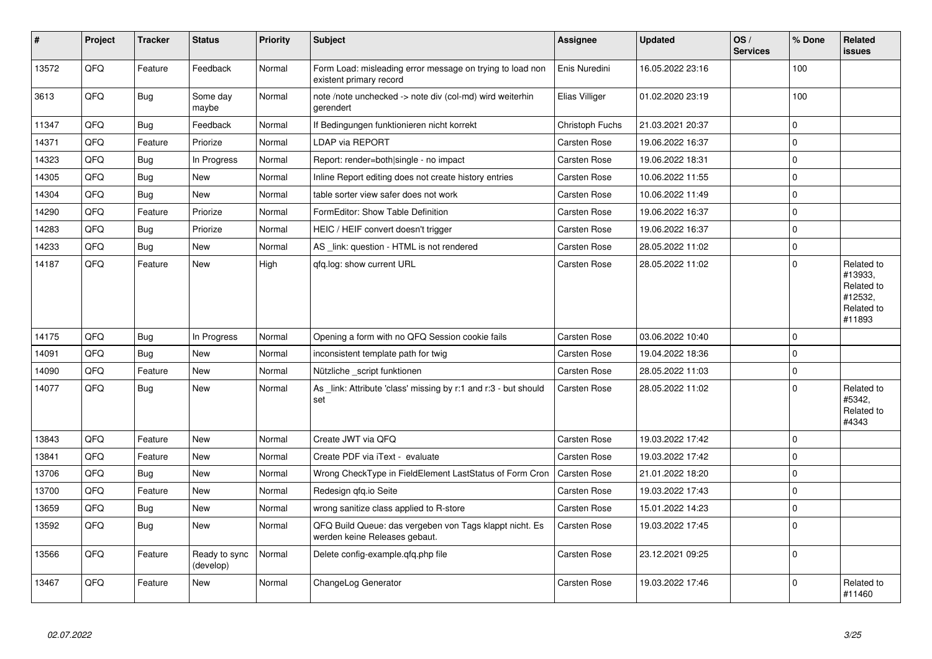| $\pmb{\sharp}$ | Project | <b>Tracker</b> | <b>Status</b>              | <b>Priority</b> | <b>Subject</b>                                                                           | Assignee            | <b>Updated</b>   | OS/<br><b>Services</b> | % Done      | Related<br>issues                                                      |
|----------------|---------|----------------|----------------------------|-----------------|------------------------------------------------------------------------------------------|---------------------|------------------|------------------------|-------------|------------------------------------------------------------------------|
| 13572          | QFQ     | Feature        | Feedback                   | Normal          | Form Load: misleading error message on trying to load non<br>existent primary record     | Enis Nuredini       | 16.05.2022 23:16 |                        | 100         |                                                                        |
| 3613           | QFQ     | <b>Bug</b>     | Some day<br>maybe          | Normal          | note /note unchecked -> note div (col-md) wird weiterhin<br>gerendert                    | Elias Villiger      | 01.02.2020 23:19 |                        | 100         |                                                                        |
| 11347          | QFQ     | <b>Bug</b>     | Feedback                   | Normal          | If Bedingungen funktionieren nicht korrekt                                               | Christoph Fuchs     | 21.03.2021 20:37 |                        | $\Omega$    |                                                                        |
| 14371          | QFQ     | Feature        | Priorize                   | Normal          | <b>LDAP via REPORT</b>                                                                   | <b>Carsten Rose</b> | 19.06.2022 16:37 |                        | $\Omega$    |                                                                        |
| 14323          | QFQ     | <b>Bug</b>     | In Progress                | Normal          | Report: render=both single - no impact                                                   | <b>Carsten Rose</b> | 19.06.2022 18:31 |                        | $\Omega$    |                                                                        |
| 14305          | QFQ     | <b>Bug</b>     | New                        | Normal          | Inline Report editing does not create history entries                                    | Carsten Rose        | 10.06.2022 11:55 |                        | $\Omega$    |                                                                        |
| 14304          | QFQ     | <b>Bug</b>     | <b>New</b>                 | Normal          | table sorter view safer does not work                                                    | Carsten Rose        | 10.06.2022 11:49 |                        | $\mathbf 0$ |                                                                        |
| 14290          | QFQ     | Feature        | Priorize                   | Normal          | FormEditor: Show Table Definition                                                        | <b>Carsten Rose</b> | 19.06.2022 16:37 |                        | $\Omega$    |                                                                        |
| 14283          | QFQ     | <b>Bug</b>     | Priorize                   | Normal          | HEIC / HEIF convert doesn't trigger                                                      | Carsten Rose        | 19.06.2022 16:37 |                        | $\mathbf 0$ |                                                                        |
| 14233          | QFQ     | <b>Bug</b>     | New                        | Normal          | AS _link: question - HTML is not rendered                                                | Carsten Rose        | 28.05.2022 11:02 |                        | $\mathbf 0$ |                                                                        |
| 14187          | QFQ     | Feature        | <b>New</b>                 | High            | qfq.log: show current URL                                                                | <b>Carsten Rose</b> | 28.05.2022 11:02 |                        | $\Omega$    | Related to<br>#13933,<br>Related to<br>#12532,<br>Related to<br>#11893 |
| 14175          | QFQ     | Bug            | In Progress                | Normal          | Opening a form with no QFQ Session cookie fails                                          | Carsten Rose        | 03.06.2022 10:40 |                        | $\mathbf 0$ |                                                                        |
| 14091          | QFQ     | <b>Bug</b>     | New                        | Normal          | inconsistent template path for twig                                                      | Carsten Rose        | 19.04.2022 18:36 |                        | $\Omega$    |                                                                        |
| 14090          | QFQ     | Feature        | <b>New</b>                 | Normal          | Nützliche script funktionen                                                              | <b>Carsten Rose</b> | 28.05.2022 11:03 |                        | $\Omega$    |                                                                        |
| 14077          | QFQ     | <b>Bug</b>     | <b>New</b>                 | Normal          | As _link: Attribute 'class' missing by r:1 and r:3 - but should<br>set                   | <b>Carsten Rose</b> | 28.05.2022 11:02 |                        | $\Omega$    | Related to<br>#5342,<br>Related to<br>#4343                            |
| 13843          | QFQ     | Feature        | <b>New</b>                 | Normal          | Create JWT via QFQ                                                                       | Carsten Rose        | 19.03.2022 17:42 |                        | $\Omega$    |                                                                        |
| 13841          | QFQ     | Feature        | New                        | Normal          | Create PDF via iText - evaluate                                                          | <b>Carsten Rose</b> | 19.03.2022 17:42 |                        | $\Omega$    |                                                                        |
| 13706          | QFQ     | <b>Bug</b>     | <b>New</b>                 | Normal          | Wrong CheckType in FieldElement LastStatus of Form Cron                                  | <b>Carsten Rose</b> | 21.01.2022 18:20 |                        | $\mathbf 0$ |                                                                        |
| 13700          | QFQ     | Feature        | New                        | Normal          | Redesign qfq.io Seite                                                                    | Carsten Rose        | 19.03.2022 17:43 |                        | $\Omega$    |                                                                        |
| 13659          | QFQ     | Bug            | New                        | Normal          | wrong sanitize class applied to R-store                                                  | <b>Carsten Rose</b> | 15.01.2022 14:23 |                        | $\mathbf 0$ |                                                                        |
| 13592          | QFQ     | Bug            | New                        | Normal          | QFQ Build Queue: das vergeben von Tags klappt nicht. Es<br>werden keine Releases gebaut. | Carsten Rose        | 19.03.2022 17:45 |                        | $\Omega$    |                                                                        |
| 13566          | QFQ     | Feature        | Ready to sync<br>(develop) | Normal          | Delete config-example.gfg.php file                                                       | Carsten Rose        | 23.12.2021 09:25 |                        | $\Omega$    |                                                                        |
| 13467          | QFQ     | Feature        | <b>New</b>                 | Normal          | ChangeLog Generator                                                                      | Carsten Rose        | 19.03.2022 17:46 |                        | $\Omega$    | Related to<br>#11460                                                   |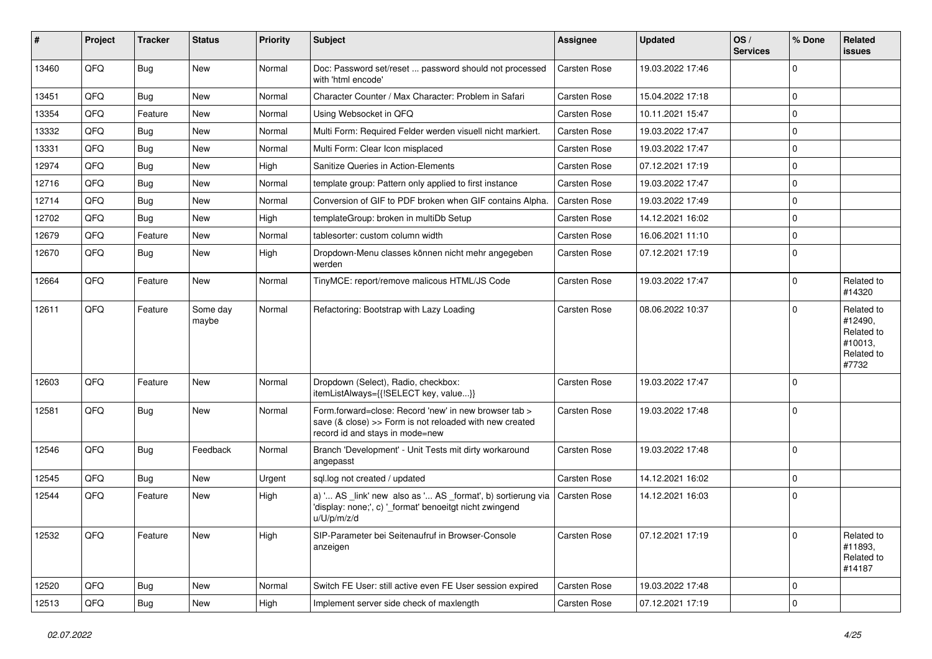| #     | Project | <b>Tracker</b> | <b>Status</b>     | <b>Priority</b> | <b>Subject</b>                                                                                                                                      | <b>Assignee</b> | <b>Updated</b>   | OS/<br><b>Services</b> | % Done      | Related<br><b>issues</b>                                              |
|-------|---------|----------------|-------------------|-----------------|-----------------------------------------------------------------------------------------------------------------------------------------------------|-----------------|------------------|------------------------|-------------|-----------------------------------------------------------------------|
| 13460 | QFQ     | <b>Bug</b>     | New               | Normal          | Doc: Password set/reset  password should not processed<br>with 'html encode'                                                                        | Carsten Rose    | 19.03.2022 17:46 |                        | $\mathbf 0$ |                                                                       |
| 13451 | QFQ     | Bug            | <b>New</b>        | Normal          | Character Counter / Max Character: Problem in Safari                                                                                                | Carsten Rose    | 15.04.2022 17:18 |                        | $\mathbf 0$ |                                                                       |
| 13354 | QFQ     | Feature        | New               | Normal          | Using Websocket in QFQ                                                                                                                              | Carsten Rose    | 10.11.2021 15:47 |                        | $\mathbf 0$ |                                                                       |
| 13332 | QFQ     | Bug            | New               | Normal          | Multi Form: Required Felder werden visuell nicht markiert.                                                                                          | Carsten Rose    | 19.03.2022 17:47 |                        | $\mathbf 0$ |                                                                       |
| 13331 | QFQ     | <b>Bug</b>     | New               | Normal          | Multi Form: Clear Icon misplaced                                                                                                                    | Carsten Rose    | 19.03.2022 17:47 |                        | $\mathbf 0$ |                                                                       |
| 12974 | QFQ     | <b>Bug</b>     | New               | High            | Sanitize Queries in Action-Elements                                                                                                                 | Carsten Rose    | 07.12.2021 17:19 |                        | $\mathbf 0$ |                                                                       |
| 12716 | QFQ     | <b>Bug</b>     | New               | Normal          | template group: Pattern only applied to first instance                                                                                              | Carsten Rose    | 19.03.2022 17:47 |                        | $\mathbf 0$ |                                                                       |
| 12714 | QFQ     | <b>Bug</b>     | New               | Normal          | Conversion of GIF to PDF broken when GIF contains Alpha.                                                                                            | Carsten Rose    | 19.03.2022 17:49 |                        | $\mathbf 0$ |                                                                       |
| 12702 | QFQ     | Bug            | New               | High            | templateGroup: broken in multiDb Setup                                                                                                              | Carsten Rose    | 14.12.2021 16:02 |                        | $\mathbf 0$ |                                                                       |
| 12679 | QFQ     | Feature        | New               | Normal          | tablesorter: custom column width                                                                                                                    | Carsten Rose    | 16.06.2021 11:10 |                        | $\mathbf 0$ |                                                                       |
| 12670 | QFQ     | Bug            | New               | High            | Dropdown-Menu classes können nicht mehr angegeben<br>werden                                                                                         | Carsten Rose    | 07.12.2021 17:19 |                        | $\mathbf 0$ |                                                                       |
| 12664 | QFQ     | Feature        | <b>New</b>        | Normal          | TinyMCE: report/remove malicous HTML/JS Code                                                                                                        | Carsten Rose    | 19.03.2022 17:47 |                        | $\mathbf 0$ | Related to<br>#14320                                                  |
| 12611 | QFQ     | Feature        | Some day<br>maybe | Normal          | Refactoring: Bootstrap with Lazy Loading                                                                                                            | Carsten Rose    | 08.06.2022 10:37 |                        | $\mathbf 0$ | Related to<br>#12490,<br>Related to<br>#10013,<br>Related to<br>#7732 |
| 12603 | QFQ     | Feature        | New               | Normal          | Dropdown (Select), Radio, checkbox:<br>itemListAlways={{!SELECT key, value}}                                                                        | Carsten Rose    | 19.03.2022 17:47 |                        | $\mathbf 0$ |                                                                       |
| 12581 | QFQ     | Bug            | New               | Normal          | Form.forward=close: Record 'new' in new browser tab ><br>save (& close) >> Form is not reloaded with new created<br>record id and stays in mode=new | Carsten Rose    | 19.03.2022 17:48 |                        | $\mathbf 0$ |                                                                       |
| 12546 | QFQ     | <b>Bug</b>     | Feedback          | Normal          | Branch 'Development' - Unit Tests mit dirty workaround<br>angepasst                                                                                 | Carsten Rose    | 19.03.2022 17:48 |                        | $\mathbf 0$ |                                                                       |
| 12545 | QFQ     | Bug            | <b>New</b>        | Urgent          | sql.log not created / updated                                                                                                                       | Carsten Rose    | 14.12.2021 16:02 |                        | $\mathbf 0$ |                                                                       |
| 12544 | QFQ     | Feature        | New               | High            | a) ' AS _link' new also as ' AS _format', b) sortierung via<br>'display: none;', c) '_format' benoeitgt nicht zwingend<br>u/U/p/m/z/d               | Carsten Rose    | 14.12.2021 16:03 |                        | $\mathbf 0$ |                                                                       |
| 12532 | QFQ     | Feature        | New               | High            | SIP-Parameter bei Seitenaufruf in Browser-Console<br>anzeigen                                                                                       | Carsten Rose    | 07.12.2021 17:19 |                        | $\mathbf 0$ | Related to<br>#11893,<br>Related to<br>#14187                         |
| 12520 | QFQ     | <b>Bug</b>     | New               | Normal          | Switch FE User: still active even FE User session expired                                                                                           | Carsten Rose    | 19.03.2022 17:48 |                        | $\mathbf 0$ |                                                                       |
| 12513 | QFG     | Bug            | New               | High            | Implement server side check of maxlength                                                                                                            | Carsten Rose    | 07.12.2021 17:19 |                        | $\pmb{0}$   |                                                                       |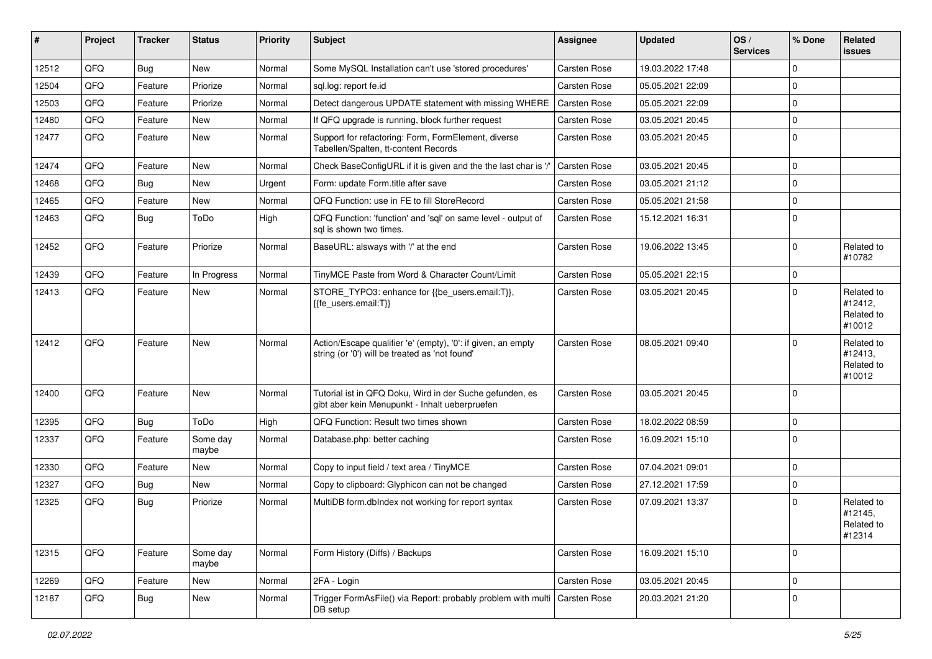| #     | Project | <b>Tracker</b> | <b>Status</b>     | <b>Priority</b> | <b>Subject</b>                                                                                                 | <b>Assignee</b>     | <b>Updated</b>   | OS/<br><b>Services</b> | % Done      | Related<br>issues                             |
|-------|---------|----------------|-------------------|-----------------|----------------------------------------------------------------------------------------------------------------|---------------------|------------------|------------------------|-------------|-----------------------------------------------|
| 12512 | QFQ     | Bug            | New               | Normal          | Some MySQL Installation can't use 'stored procedures'                                                          | <b>Carsten Rose</b> | 19.03.2022 17:48 |                        | 0           |                                               |
| 12504 | QFQ     | Feature        | Priorize          | Normal          | sql.log: report fe.id                                                                                          | Carsten Rose        | 05.05.2021 22:09 |                        | 0           |                                               |
| 12503 | QFQ     | Feature        | Priorize          | Normal          | Detect dangerous UPDATE statement with missing WHERE                                                           | <b>Carsten Rose</b> | 05.05.2021 22:09 |                        | $\mathbf 0$ |                                               |
| 12480 | QFQ     | Feature        | New               | Normal          | If QFQ upgrade is running, block further request                                                               | <b>Carsten Rose</b> | 03.05.2021 20:45 |                        | 0           |                                               |
| 12477 | QFQ     | Feature        | New               | Normal          | Support for refactoring: Form, FormElement, diverse<br>Tabellen/Spalten, tt-content Records                    | Carsten Rose        | 03.05.2021 20:45 |                        | $\mathbf 0$ |                                               |
| 12474 | QFQ     | Feature        | New               | Normal          | Check BaseConfigURL if it is given and the the last char is '                                                  | Carsten Rose        | 03.05.2021 20:45 |                        | $\mathbf 0$ |                                               |
| 12468 | QFQ     | <b>Bug</b>     | New               | Urgent          | Form: update Form.title after save                                                                             | Carsten Rose        | 03.05.2021 21:12 |                        | 0           |                                               |
| 12465 | QFQ     | Feature        | New               | Normal          | QFQ Function: use in FE to fill StoreRecord                                                                    | Carsten Rose        | 05.05.2021 21:58 |                        | $\mathbf 0$ |                                               |
| 12463 | QFQ     | <b>Bug</b>     | ToDo              | High            | QFQ Function: 'function' and 'sql' on same level - output of<br>sal is shown two times.                        | Carsten Rose        | 15.12.2021 16:31 |                        | $\mathbf 0$ |                                               |
| 12452 | QFQ     | Feature        | Priorize          | Normal          | BaseURL: alsways with '/' at the end                                                                           | Carsten Rose        | 19.06.2022 13:45 |                        | $\mathbf 0$ | Related to<br>#10782                          |
| 12439 | QFQ     | Feature        | In Progress       | Normal          | TinyMCE Paste from Word & Character Count/Limit                                                                | <b>Carsten Rose</b> | 05.05.2021 22:15 |                        | $\mathbf 0$ |                                               |
| 12413 | QFQ     | Feature        | New               | Normal          | STORE_TYPO3: enhance for {{be_users.email:T}},<br>{{fe users.email:T}}                                         | Carsten Rose        | 03.05.2021 20:45 |                        | $\mathbf 0$ | Related to<br>#12412,<br>Related to<br>#10012 |
| 12412 | QFQ     | Feature        | New               | Normal          | Action/Escape qualifier 'e' (empty), '0': if given, an empty<br>string (or '0') will be treated as 'not found' | <b>Carsten Rose</b> | 08.05.2021 09:40 |                        | $\Omega$    | Related to<br>#12413,<br>Related to<br>#10012 |
| 12400 | QFQ     | Feature        | New               | Normal          | Tutorial ist in QFQ Doku, Wird in der Suche gefunden, es<br>gibt aber kein Menupunkt - Inhalt ueberpruefen     | Carsten Rose        | 03.05.2021 20:45 |                        | $\mathbf 0$ |                                               |
| 12395 | QFQ     | Bug            | ToDo              | High            | QFQ Function: Result two times shown                                                                           | <b>Carsten Rose</b> | 18.02.2022 08:59 |                        | $\pmb{0}$   |                                               |
| 12337 | QFQ     | Feature        | Some day<br>maybe | Normal          | Database.php: better caching                                                                                   | Carsten Rose        | 16.09.2021 15:10 |                        | $\mathbf 0$ |                                               |
| 12330 | QFQ     | Feature        | <b>New</b>        | Normal          | Copy to input field / text area / TinyMCE                                                                      | Carsten Rose        | 07.04.2021 09:01 |                        | $\mathbf 0$ |                                               |
| 12327 | QFQ     | Bug            | New               | Normal          | Copy to clipboard: Glyphicon can not be changed                                                                | Carsten Rose        | 27.12.2021 17:59 |                        | 0           |                                               |
| 12325 | QFQ     | Bug            | Priorize          | Normal          | MultiDB form.dblndex not working for report syntax                                                             | <b>Carsten Rose</b> | 07.09.2021 13:37 |                        | $\mathbf 0$ | Related to<br>#12145,<br>Related to<br>#12314 |
| 12315 | QFQ     | Feature        | Some day<br>maybe | Normal          | Form History (Diffs) / Backups                                                                                 | Carsten Rose        | 16.09.2021 15:10 |                        | $\pmb{0}$   |                                               |
| 12269 | QFQ     | Feature        | New               | Normal          | 2FA - Login                                                                                                    | Carsten Rose        | 03.05.2021 20:45 |                        | $\pmb{0}$   |                                               |
| 12187 | QFQ     | Bug            | New               | Normal          | Trigger FormAsFile() via Report: probably problem with multi   Carsten Rose<br>DB setup                        |                     | 20.03.2021 21:20 |                        | 0           |                                               |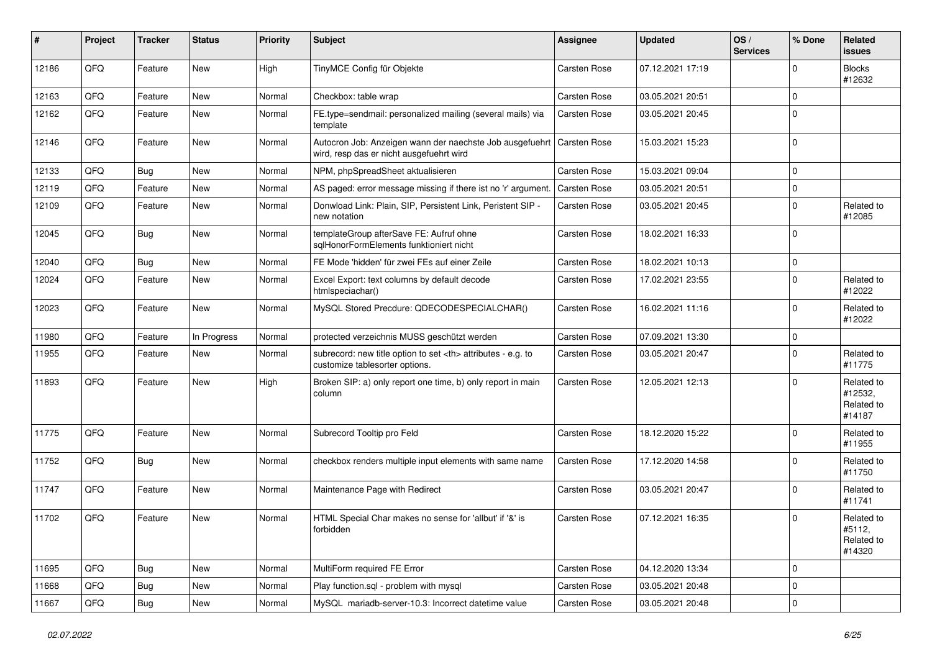| #     | Project | <b>Tracker</b> | <b>Status</b> | <b>Priority</b> | <b>Subject</b>                                                                                                      | <b>Assignee</b>                                        | <b>Updated</b>   | OS/<br><b>Services</b> | % Done   | Related<br><b>issues</b>                      |                      |
|-------|---------|----------------|---------------|-----------------|---------------------------------------------------------------------------------------------------------------------|--------------------------------------------------------|------------------|------------------------|----------|-----------------------------------------------|----------------------|
| 12186 | QFQ     | Feature        | New           | High            | TinyMCE Config für Objekte                                                                                          | <b>Carsten Rose</b>                                    | 07.12.2021 17:19 |                        | 0        | <b>Blocks</b><br>#12632                       |                      |
| 12163 | QFQ     | Feature        | New           | Normal          | Checkbox: table wrap                                                                                                | <b>Carsten Rose</b>                                    | 03.05.2021 20:51 |                        | 0        |                                               |                      |
| 12162 | QFQ     | Feature        | New           | Normal          | FE.type=sendmail: personalized mailing (several mails) via<br>template                                              | Carsten Rose                                           | 03.05.2021 20:45 |                        | $\Omega$ |                                               |                      |
| 12146 | QFQ     | Feature        | New           | Normal          | Autocron Job: Anzeigen wann der naechste Job ausgefuehrt   Carsten Rose<br>wird, resp das er nicht ausgefuehrt wird |                                                        | 15.03.2021 15:23 |                        | 0        |                                               |                      |
| 12133 | QFQ     | Bug            | New           | Normal          | NPM, phpSpreadSheet aktualisieren                                                                                   | <b>Carsten Rose</b>                                    | 15.03.2021 09:04 |                        | $\Omega$ |                                               |                      |
| 12119 | QFQ     | Feature        | <b>New</b>    | Normal          | AS paged: error message missing if there ist no 'r' argumen                                                         | <b>Carsten Rose</b>                                    | 03.05.2021 20:51 |                        | 0        |                                               |                      |
| 12109 | QFQ     | Feature        | New           | Normal          | Donwload Link: Plain, SIP, Persistent Link, Peristent SIP -<br>new notation                                         | <b>Carsten Rose</b>                                    | 03.05.2021 20:45 |                        | 0        | Related to<br>#12085                          |                      |
| 12045 | QFQ     | Bug            | New           | Normal          | templateGroup afterSave FE: Aufruf ohne<br>sqlHonorFormElements funktioniert nicht                                  | <b>Carsten Rose</b>                                    | 18.02.2021 16:33 |                        | 0        |                                               |                      |
| 12040 | QFQ     | Bug            | New           | Normal          | FE Mode 'hidden' für zwei FEs auf einer Zeile                                                                       | <b>Carsten Rose</b>                                    | 18.02.2021 10:13 |                        | 0        |                                               |                      |
| 12024 | QFQ     | Feature        | New           | Normal          | Excel Export: text columns by default decode<br>htmlspeciachar()                                                    | Carsten Rose                                           | 17.02.2021 23:55 |                        | 0        | Related to<br>#12022                          |                      |
| 12023 | QFQ     | Feature        | New           | Normal          | MySQL Stored Precdure: QDECODESPECIALCHAR()                                                                         | Carsten Rose                                           | 16.02.2021 11:16 |                        | 0        | Related to<br>#12022                          |                      |
| 11980 | QFQ     | Feature        | In Progress   | Normal          | protected verzeichnis MUSS geschützt werden                                                                         | Carsten Rose                                           | 07.09.2021 13:30 |                        | 0        |                                               |                      |
| 11955 | QFQ     | Feature        | New           | Normal          | subrecord: new title option to set <th> attributes - e.g. to<br/>customize tablesorter options.</th>                | attributes - e.g. to<br>customize tablesorter options. | Carsten Rose     | 03.05.2021 20:47       |          | 0                                             | Related to<br>#11775 |
| 11893 | QFQ     | Feature        | New           | High            | Broken SIP: a) only report one time, b) only report in main<br>column                                               | Carsten Rose                                           | 12.05.2021 12:13 |                        | 0        | Related to<br>#12532,<br>Related to<br>#14187 |                      |
| 11775 | QFQ     | Feature        | New           | Normal          | Subrecord Tooltip pro Feld                                                                                          | <b>Carsten Rose</b>                                    | 18.12.2020 15:22 |                        | 0        | Related to<br>#11955                          |                      |
| 11752 | QFQ     | <b>Bug</b>     | New           | Normal          | checkbox renders multiple input elements with same name                                                             | <b>Carsten Rose</b>                                    | 17.12.2020 14:58 |                        | 0        | Related to<br>#11750                          |                      |
| 11747 | QFQ     | Feature        | New           | Normal          | Maintenance Page with Redirect                                                                                      | <b>Carsten Rose</b>                                    | 03.05.2021 20:47 |                        | 0        | Related to<br>#11741                          |                      |
| 11702 | QFQ     | Feature        | New           | Normal          | HTML Special Char makes no sense for 'allbut' if '&' is<br>torbidden                                                | <b>Carsten Rose</b>                                    | 07.12.2021 16:35 |                        | 0        | Related to<br>#5112,<br>Related to<br>#14320  |                      |
| 11695 | QFQ     | <b>Bug</b>     | New           | Normal          | MultiForm required FE Error                                                                                         | Carsten Rose                                           | 04.12.2020 13:34 |                        | 0        |                                               |                      |
| 11668 | QFQ     | Bug            | New           | Normal          | Play function.sql - problem with mysql                                                                              | Carsten Rose                                           | 03.05.2021 20:48 |                        | 0        |                                               |                      |
| 11667 | QFQ     | <b>Bug</b>     | New           | Normal          | MySQL mariadb-server-10.3: Incorrect datetime value                                                                 | Carsten Rose                                           | 03.05.2021 20:48 |                        | 0        |                                               |                      |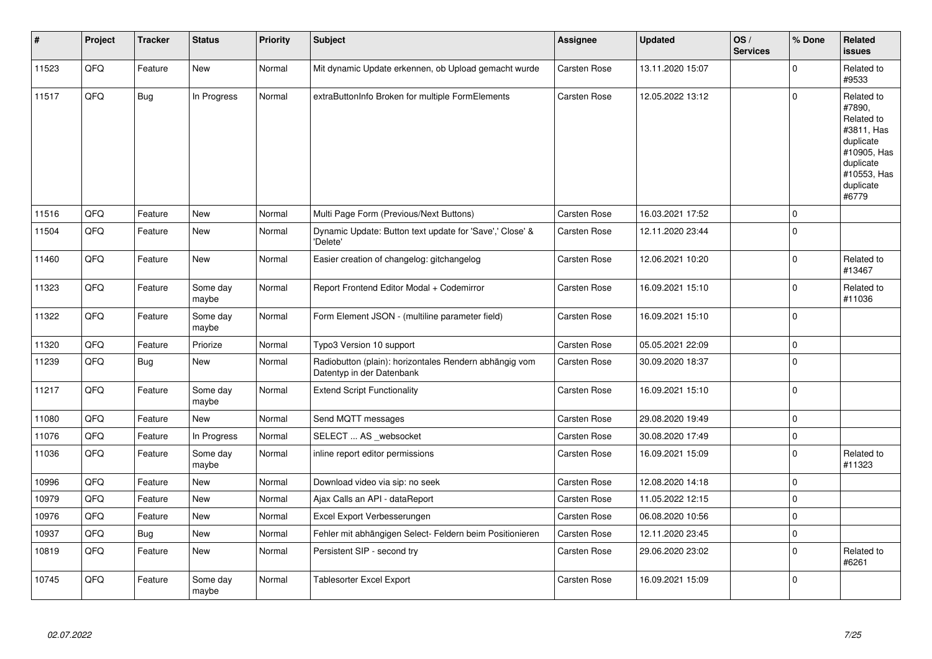| #     | Project | <b>Tracker</b> | <b>Status</b>     | <b>Priority</b> | <b>Subject</b>                                                                      | <b>Assignee</b>     | <b>Updated</b>   | OS/<br><b>Services</b> | % Done      | Related<br><b>issues</b>                                                                                                       |
|-------|---------|----------------|-------------------|-----------------|-------------------------------------------------------------------------------------|---------------------|------------------|------------------------|-------------|--------------------------------------------------------------------------------------------------------------------------------|
| 11523 | QFQ     | Feature        | New               | Normal          | Mit dynamic Update erkennen, ob Upload gemacht wurde                                | <b>Carsten Rose</b> | 13.11.2020 15:07 |                        | $\Omega$    | Related to<br>#9533                                                                                                            |
| 11517 | QFQ     | Bug            | In Progress       | Normal          | extraButtonInfo Broken for multiple FormElements                                    | <b>Carsten Rose</b> | 12.05.2022 13:12 |                        | $\Omega$    | Related to<br>#7890,<br>Related to<br>#3811, Has<br>duplicate<br>#10905, Has<br>duplicate<br>#10553, Has<br>duplicate<br>#6779 |
| 11516 | QFQ     | Feature        | New               | Normal          | Multi Page Form (Previous/Next Buttons)                                             | Carsten Rose        | 16.03.2021 17:52 |                        | $\Omega$    |                                                                                                                                |
| 11504 | QFQ     | Feature        | New               | Normal          | Dynamic Update: Button text update for 'Save',' Close' &<br>'Delete'                | Carsten Rose        | 12.11.2020 23:44 |                        | $\Omega$    |                                                                                                                                |
| 11460 | QFQ     | Feature        | New               | Normal          | Easier creation of changelog: gitchangelog                                          | Carsten Rose        | 12.06.2021 10:20 |                        | $\mathbf 0$ | Related to<br>#13467                                                                                                           |
| 11323 | QFQ     | Feature        | Some day<br>maybe | Normal          | Report Frontend Editor Modal + Codemirror                                           | <b>Carsten Rose</b> | 16.09.2021 15:10 |                        | $\Omega$    | Related to<br>#11036                                                                                                           |
| 11322 | QFQ     | Feature        | Some day<br>maybe | Normal          | Form Element JSON - (multiline parameter field)                                     | Carsten Rose        | 16.09.2021 15:10 |                        | $\mathbf 0$ |                                                                                                                                |
| 11320 | QFQ     | Feature        | Priorize          | Normal          | Typo3 Version 10 support                                                            | <b>Carsten Rose</b> | 05.05.2021 22:09 |                        | 0           |                                                                                                                                |
| 11239 | QFQ     | <b>Bug</b>     | New               | Normal          | Radiobutton (plain): horizontales Rendern abhängig vom<br>Datentyp in der Datenbank | <b>Carsten Rose</b> | 30.09.2020 18:37 |                        | 0           |                                                                                                                                |
| 11217 | QFQ     | Feature        | Some day<br>maybe | Normal          | <b>Extend Script Functionality</b>                                                  | Carsten Rose        | 16.09.2021 15:10 |                        | $\mathbf 0$ |                                                                                                                                |
| 11080 | QFQ     | Feature        | New               | Normal          | Send MQTT messages                                                                  | Carsten Rose        | 29.08.2020 19:49 |                        | $\mathbf 0$ |                                                                                                                                |
| 11076 | QFQ     | Feature        | In Progress       | Normal          | SELECT  AS websocket                                                                | Carsten Rose        | 30.08.2020 17:49 |                        | $\mathbf 0$ |                                                                                                                                |
| 11036 | QFQ     | Feature        | Some day<br>maybe | Normal          | inline report editor permissions                                                    | <b>Carsten Rose</b> | 16.09.2021 15:09 |                        | $\Omega$    | Related to<br>#11323                                                                                                           |
| 10996 | QFQ     | Feature        | New               | Normal          | Download video via sip: no seek                                                     | Carsten Rose        | 12.08.2020 14:18 |                        | $\Omega$    |                                                                                                                                |
| 10979 | QFQ     | Feature        | New               | Normal          | Ajax Calls an API - dataReport                                                      | <b>Carsten Rose</b> | 11.05.2022 12:15 |                        | $\Omega$    |                                                                                                                                |
| 10976 | QFQ     | Feature        | New               | Normal          | Excel Export Verbesserungen                                                         | <b>Carsten Rose</b> | 06.08.2020 10:56 |                        | $\Omega$    |                                                                                                                                |
| 10937 | QFQ     | Bug            | New               | Normal          | Fehler mit abhängigen Select- Feldern beim Positionieren                            | Carsten Rose        | 12.11.2020 23:45 |                        | $\mathbf 0$ |                                                                                                                                |
| 10819 | QFQ     | Feature        | New               | Normal          | Persistent SIP - second try                                                         | Carsten Rose        | 29.06.2020 23:02 |                        | 0           | Related to<br>#6261                                                                                                            |
| 10745 | QFQ     | Feature        | Some day<br>maybe | Normal          | Tablesorter Excel Export                                                            | Carsten Rose        | 16.09.2021 15:09 |                        | $\Omega$    |                                                                                                                                |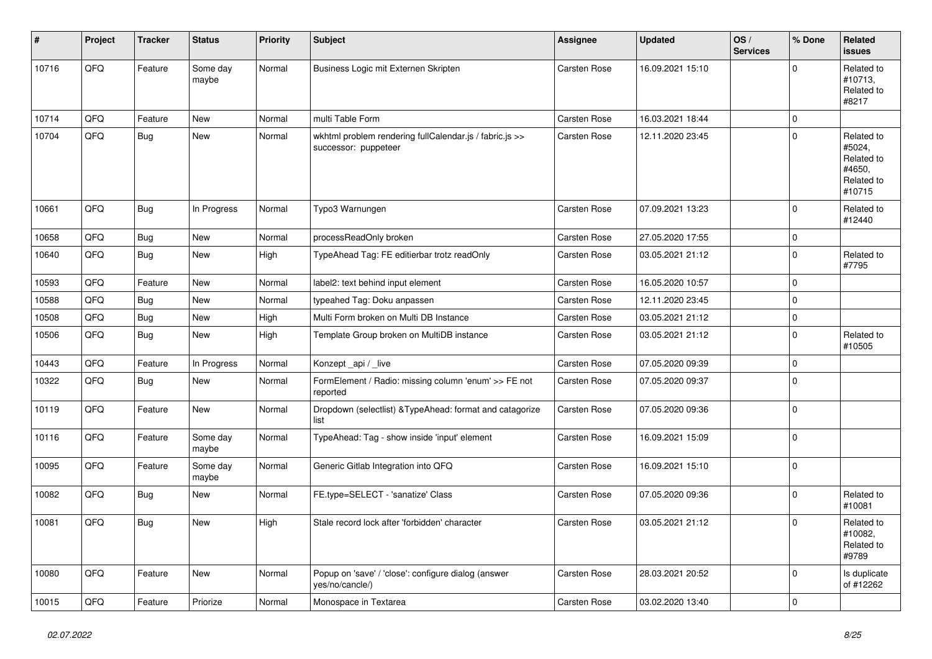| #     | Project | <b>Tracker</b> | <b>Status</b>     | <b>Priority</b> | <b>Subject</b>                                                                  | <b>Assignee</b>     | <b>Updated</b>   | OS/<br><b>Services</b> | % Done         | Related<br><b>issues</b>                                             |
|-------|---------|----------------|-------------------|-----------------|---------------------------------------------------------------------------------|---------------------|------------------|------------------------|----------------|----------------------------------------------------------------------|
| 10716 | QFQ     | Feature        | Some day<br>maybe | Normal          | Business Logic mit Externen Skripten                                            | Carsten Rose        | 16.09.2021 15:10 |                        | $\Omega$       | Related to<br>#10713,<br>Related to<br>#8217                         |
| 10714 | QFQ     | Feature        | <b>New</b>        | Normal          | multi Table Form                                                                | Carsten Rose        | 16.03.2021 18:44 |                        | 0              |                                                                      |
| 10704 | QFQ     | Bug            | <b>New</b>        | Normal          | wkhtml problem rendering fullCalendar.js / fabric.js >><br>successor: puppeteer | <b>Carsten Rose</b> | 12.11.2020 23:45 |                        | 0              | Related to<br>#5024,<br>Related to<br>#4650.<br>Related to<br>#10715 |
| 10661 | QFQ     | Bug            | In Progress       | Normal          | Typo3 Warnungen                                                                 | Carsten Rose        | 07.09.2021 13:23 |                        | 0              | Related to<br>#12440                                                 |
| 10658 | QFQ     | <b>Bug</b>     | <b>New</b>        | Normal          | processReadOnly broken                                                          | Carsten Rose        | 27.05.2020 17:55 |                        | 0              |                                                                      |
| 10640 | QFQ     | <b>Bug</b>     | New               | High            | TypeAhead Tag: FE editierbar trotz readOnly                                     | Carsten Rose        | 03.05.2021 21:12 |                        | $\Omega$       | Related to<br>#7795                                                  |
| 10593 | QFQ     | Feature        | <b>New</b>        | Normal          | label2: text behind input element                                               | Carsten Rose        | 16.05.2020 10:57 |                        | 0              |                                                                      |
| 10588 | QFQ     | Bug            | <b>New</b>        | Normal          | typeahed Tag: Doku anpassen                                                     | Carsten Rose        | 12.11.2020 23:45 |                        | 0              |                                                                      |
| 10508 | QFQ     | Bug            | New               | High            | Multi Form broken on Multi DB Instance                                          | Carsten Rose        | 03.05.2021 21:12 |                        | 0              |                                                                      |
| 10506 | QFQ     | Bug            | New               | High            | Template Group broken on MultiDB instance                                       | <b>Carsten Rose</b> | 03.05.2021 21:12 |                        | 0              | Related to<br>#10505                                                 |
| 10443 | QFQ     | Feature        | In Progress       | Normal          | Konzept_api / _live                                                             | Carsten Rose        | 07.05.2020 09:39 |                        | 0              |                                                                      |
| 10322 | QFQ     | <b>Bug</b>     | New               | Normal          | FormElement / Radio: missing column 'enum' >> FE not<br>reported                | <b>Carsten Rose</b> | 07.05.2020 09:37 |                        | $\Omega$       |                                                                      |
| 10119 | QFQ     | Feature        | <b>New</b>        | Normal          | Dropdown (selectlist) & Type Ahead: format and catagorize<br>list               | Carsten Rose        | 07.05.2020 09:36 |                        | $\overline{0}$ |                                                                      |
| 10116 | QFQ     | Feature        | Some day<br>maybe | Normal          | TypeAhead: Tag - show inside 'input' element                                    | <b>Carsten Rose</b> | 16.09.2021 15:09 |                        | 0              |                                                                      |
| 10095 | QFQ     | Feature        | Some day<br>maybe | Normal          | Generic Gitlab Integration into QFQ                                             | Carsten Rose        | 16.09.2021 15:10 |                        | $\Omega$       |                                                                      |
| 10082 | QFQ     | Bug            | New               | Normal          | FE.type=SELECT - 'sanatize' Class                                               | Carsten Rose        | 07.05.2020 09:36 |                        | $\overline{0}$ | Related to<br>#10081                                                 |
| 10081 | QFQ     | Bug            | <b>New</b>        | High            | Stale record lock after 'forbidden' character                                   | <b>Carsten Rose</b> | 03.05.2021 21:12 |                        | 0              | Related to<br>#10082,<br>Related to<br>#9789                         |
| 10080 | QFQ     | Feature        | <b>New</b>        | Normal          | Popup on 'save' / 'close': configure dialog (answer<br>yes/no/cancle/)          | Carsten Rose        | 28.03.2021 20:52 |                        | $\Omega$       | Is duplicate<br>of #12262                                            |
| 10015 | QFQ     | Feature        | Priorize          | Normal          | Monospace in Textarea                                                           | <b>Carsten Rose</b> | 03.02.2020 13:40 |                        | 0              |                                                                      |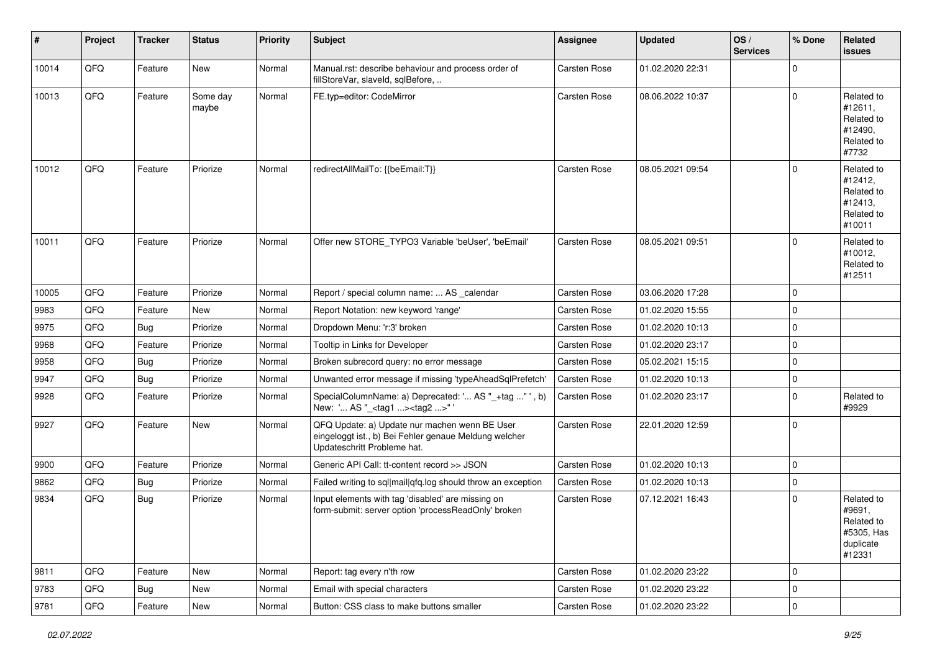| #     | Project | <b>Tracker</b> | <b>Status</b>     | <b>Priority</b> | <b>Subject</b>                                                                                                                        | <b>Assignee</b>     | Updated          | OS/<br><b>Services</b> | % Done      | Related<br><b>issues</b>                                                |
|-------|---------|----------------|-------------------|-----------------|---------------------------------------------------------------------------------------------------------------------------------------|---------------------|------------------|------------------------|-------------|-------------------------------------------------------------------------|
| 10014 | QFQ     | Feature        | New               | Normal          | Manual.rst: describe behaviour and process order of<br>fillStoreVar, slaveId, sqlBefore,                                              | Carsten Rose        | 01.02.2020 22:31 |                        | $\mathbf 0$ |                                                                         |
| 10013 | QFQ     | Feature        | Some day<br>maybe | Normal          | FE.typ=editor: CodeMirror                                                                                                             | Carsten Rose        | 08.06.2022 10:37 |                        | $\Omega$    | Related to<br>#12611,<br>Related to<br>#12490,<br>Related to<br>#7732   |
| 10012 | QFQ     | Feature        | Priorize          | Normal          | redirectAllMailTo: {{beEmail:T}}                                                                                                      | Carsten Rose        | 08.05.2021 09:54 |                        | $\Omega$    | Related to<br>#12412.<br>Related to<br>#12413,<br>Related to<br>#10011  |
| 10011 | QFQ     | Feature        | Priorize          | Normal          | Offer new STORE_TYPO3 Variable 'beUser', 'beEmail'                                                                                    | <b>Carsten Rose</b> | 08.05.2021 09:51 |                        | $\Omega$    | Related to<br>#10012,<br>Related to<br>#12511                           |
| 10005 | QFQ     | Feature        | Priorize          | Normal          | Report / special column name:  AS _calendar                                                                                           | Carsten Rose        | 03.06.2020 17:28 |                        | $\Omega$    |                                                                         |
| 9983  | QFQ     | Feature        | New               | Normal          | Report Notation: new keyword 'range'                                                                                                  | Carsten Rose        | 01.02.2020 15:55 |                        | $\mathbf 0$ |                                                                         |
| 9975  | QFQ     | Bug            | Priorize          | Normal          | Dropdown Menu: 'r:3' broken                                                                                                           | Carsten Rose        | 01.02.2020 10:13 |                        | $\mathbf 0$ |                                                                         |
| 9968  | QFQ     | Feature        | Priorize          | Normal          | Tooltip in Links for Developer                                                                                                        | Carsten Rose        | 01.02.2020 23:17 |                        | $\mathbf 0$ |                                                                         |
| 9958  | QFQ     | Bug            | Priorize          | Normal          | Broken subrecord query: no error message                                                                                              | Carsten Rose        | 05.02.2021 15:15 |                        | $\mathbf 0$ |                                                                         |
| 9947  | QFQ     | Bug            | Priorize          | Normal          | Unwanted error message if missing 'typeAheadSqlPrefetch'                                                                              | Carsten Rose        | 01.02.2020 10:13 |                        | $\mathbf 0$ |                                                                         |
| 9928  | QFQ     | Feature        | Priorize          | Normal          | SpecialColumnName: a) Deprecated: ' AS "_+tag "', b)<br>New: ' AS "_ <tag1><tag2>"</tag2></tag1>                                      | Carsten Rose        | 01.02.2020 23:17 |                        | $\mathbf 0$ | Related to<br>#9929                                                     |
| 9927  | QFQ     | Feature        | New               | Normal          | QFQ Update: a) Update nur machen wenn BE User<br>eingeloggt ist., b) Bei Fehler genaue Meldung welcher<br>Updateschritt Probleme hat. | Carsten Rose        | 22.01.2020 12:59 |                        | $\mathbf 0$ |                                                                         |
| 9900  | QFQ     | Feature        | Priorize          | Normal          | Generic API Call: tt-content record >> JSON                                                                                           | Carsten Rose        | 01.02.2020 10:13 |                        | $\mathbf 0$ |                                                                         |
| 9862  | QFQ     | Bug            | Priorize          | Normal          | Failed writing to sql mail qfq.log should throw an exception                                                                          | Carsten Rose        | 01.02.2020 10:13 |                        | $\mathbf 0$ |                                                                         |
| 9834  | QFQ     | Bug            | Priorize          | Normal          | Input elements with tag 'disabled' are missing on<br>form-submit: server option 'processReadOnly' broken                              | Carsten Rose        | 07.12.2021 16:43 |                        | $\Omega$    | Related to<br>#9691,<br>Related to<br>#5305, Has<br>duplicate<br>#12331 |
| 9811  | QFQ     | Feature        | New               | Normal          | Report: tag every n'th row                                                                                                            | Carsten Rose        | 01.02.2020 23:22 |                        | $\mathbf 0$ |                                                                         |
| 9783  | QFQ     | <b>Bug</b>     | New               | Normal          | Email with special characters                                                                                                         | Carsten Rose        | 01.02.2020 23:22 |                        | 0           |                                                                         |
| 9781  | QFQ     | Feature        | New               | Normal          | Button: CSS class to make buttons smaller                                                                                             | Carsten Rose        | 01.02.2020 23:22 |                        | 0           |                                                                         |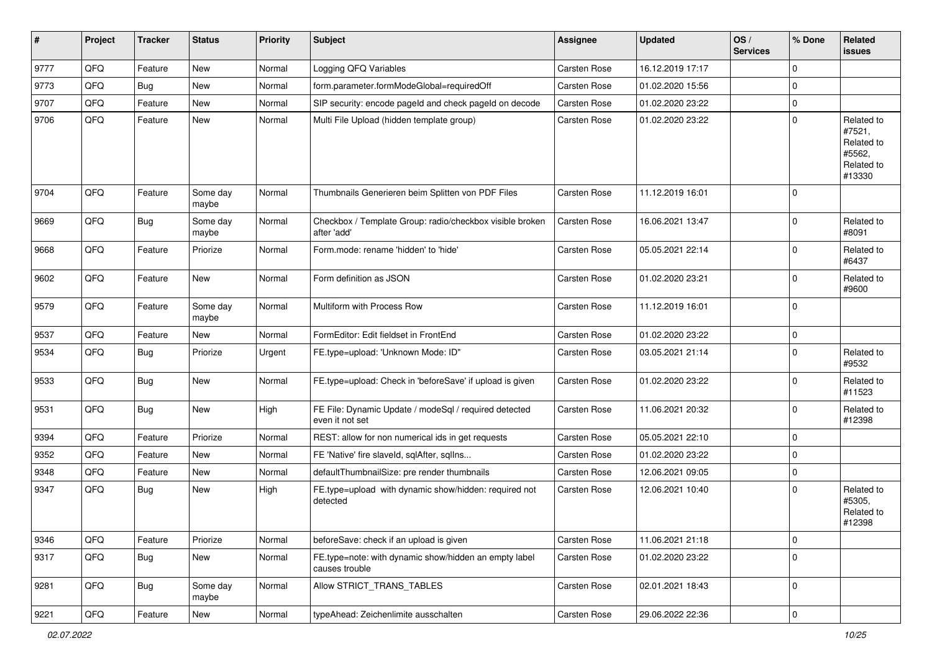| $\vert$ # | Project        | <b>Tracker</b> | <b>Status</b>     | <b>Priority</b> | Subject                                                                  | <b>Assignee</b>     | <b>Updated</b>   | OS/<br><b>Services</b> | % Done              | Related<br><b>issues</b>                                             |
|-----------|----------------|----------------|-------------------|-----------------|--------------------------------------------------------------------------|---------------------|------------------|------------------------|---------------------|----------------------------------------------------------------------|
| 9777      | QFQ            | Feature        | New               | Normal          | Logging QFQ Variables                                                    | Carsten Rose        | 16.12.2019 17:17 |                        | $\mathbf 0$         |                                                                      |
| 9773      | QFQ            | Bug            | New               | Normal          | form.parameter.formModeGlobal=requiredOff                                | Carsten Rose        | 01.02.2020 15:56 |                        | 0                   |                                                                      |
| 9707      | QFQ            | Feature        | <b>New</b>        | Normal          | SIP security: encode pageld and check pageld on decode                   | Carsten Rose        | 01.02.2020 23:22 |                        | $\mathbf 0$         |                                                                      |
| 9706      | QFQ            | Feature        | New               | Normal          | Multi File Upload (hidden template group)                                | Carsten Rose        | 01.02.2020 23:22 |                        | $\mathbf 0$         | Related to<br>#7521,<br>Related to<br>#5562,<br>Related to<br>#13330 |
| 9704      | QFQ            | Feature        | Some day<br>maybe | Normal          | Thumbnails Generieren beim Splitten von PDF Files                        | <b>Carsten Rose</b> | 11.12.2019 16:01 |                        | $\mathbf 0$         |                                                                      |
| 9669      | QFQ            | <b>Bug</b>     | Some day<br>maybe | Normal          | Checkbox / Template Group: radio/checkbox visible broken<br>after 'add'  | <b>Carsten Rose</b> | 16.06.2021 13:47 |                        | 0                   | Related to<br>#8091                                                  |
| 9668      | QFQ            | Feature        | Priorize          | Normal          | Form.mode: rename 'hidden' to 'hide'                                     | Carsten Rose        | 05.05.2021 22:14 |                        | 0                   | Related to<br>#6437                                                  |
| 9602      | QFQ            | Feature        | New               | Normal          | Form definition as JSON                                                  | <b>Carsten Rose</b> | 01.02.2020 23:21 |                        | $\mathbf 0$         | Related to<br>#9600                                                  |
| 9579      | QFQ            | Feature        | Some day<br>maybe | Normal          | Multiform with Process Row                                               | Carsten Rose        | 11.12.2019 16:01 |                        | $\mathbf 0$         |                                                                      |
| 9537      | QFQ            | Feature        | New               | Normal          | FormEditor: Edit fieldset in FrontEnd                                    | Carsten Rose        | 01.02.2020 23:22 |                        | $\mathbf 0$         |                                                                      |
| 9534      | QFQ            | Bug            | Priorize          | Urgent          | FE.type=upload: 'Unknown Mode: ID"                                       | Carsten Rose        | 03.05.2021 21:14 |                        | $\mathbf 0$         | Related to<br>#9532                                                  |
| 9533      | QFQ            | <b>Bug</b>     | <b>New</b>        | Normal          | FE.type=upload: Check in 'beforeSave' if upload is given                 | Carsten Rose        | 01.02.2020 23:22 |                        | 0                   | Related to<br>#11523                                                 |
| 9531      | QFQ            | <b>Bug</b>     | <b>New</b>        | High            | FE File: Dynamic Update / modeSql / required detected<br>even it not set | Carsten Rose        | 11.06.2021 20:32 |                        | 0                   | Related to<br>#12398                                                 |
| 9394      | QFQ            | Feature        | Priorize          | Normal          | REST: allow for non numerical ids in get requests                        | <b>Carsten Rose</b> | 05.05.2021 22:10 |                        | 0                   |                                                                      |
| 9352      | QFQ            | Feature        | New               | Normal          | FE 'Native' fire slaveld, sqlAfter, sqlIns                               | Carsten Rose        | 01.02.2020 23:22 |                        | 0                   |                                                                      |
| 9348      | QFQ            | Feature        | <b>New</b>        | Normal          | defaultThumbnailSize: pre render thumbnails                              | Carsten Rose        | 12.06.2021 09:05 |                        | 0                   |                                                                      |
| 9347      | QFQ            | Bug            | New               | High            | FE.type=upload with dynamic show/hidden: required not<br>detected        | <b>Carsten Rose</b> | 12.06.2021 10:40 |                        | 0                   | Related to<br>#5305,<br>Related to<br>#12398                         |
| 9346      | QFG            | Feature        | Priorize          | Normal          | beforeSave: check if an upload is given                                  | Carsten Rose        | 11.06.2021 21:18 |                        | $\mathbf 0$         |                                                                      |
| 9317      | QFQ            | Bug            | New               | Normal          | FE.type=note: with dynamic show/hidden an empty label<br>causes trouble  | Carsten Rose        | 01.02.2020 23:22 |                        | $\mathbf 0$         |                                                                      |
| 9281      | QFG            | <b>Bug</b>     | Some day<br>maybe | Normal          | Allow STRICT TRANS TABLES                                                | Carsten Rose        | 02.01.2021 18:43 |                        | $\mathbf 0$         |                                                                      |
| 9221      | $\mathsf{QFQ}$ | Feature        | New               | Normal          | typeAhead: Zeichenlimite ausschalten                                     | Carsten Rose        | 29.06.2022 22:36 |                        | $\mathsf{O}\xspace$ |                                                                      |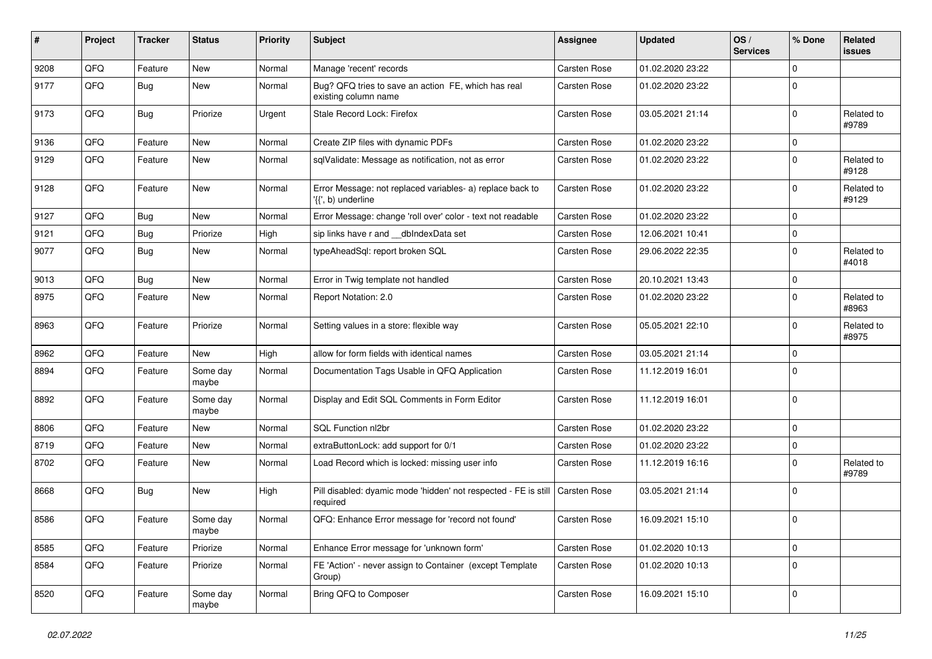| $\vert$ # | Project | <b>Tracker</b> | <b>Status</b>     | <b>Priority</b> | <b>Subject</b>                                                                  | <b>Assignee</b>     | <b>Updated</b>   | OS/<br><b>Services</b> | % Done      | <b>Related</b><br><b>issues</b> |
|-----------|---------|----------------|-------------------|-----------------|---------------------------------------------------------------------------------|---------------------|------------------|------------------------|-------------|---------------------------------|
| 9208      | QFQ     | Feature        | <b>New</b>        | Normal          | Manage 'recent' records                                                         | Carsten Rose        | 01.02.2020 23:22 |                        | 0           |                                 |
| 9177      | QFQ     | Bug            | New               | Normal          | Bug? QFQ tries to save an action FE, which has real<br>existing column name     | <b>Carsten Rose</b> | 01.02.2020 23:22 |                        | 0           |                                 |
| 9173      | QFQ     | <b>Bug</b>     | Priorize          | Urgent          | Stale Record Lock: Firefox                                                      | Carsten Rose        | 03.05.2021 21:14 |                        | 0           | Related to<br>#9789             |
| 9136      | QFQ     | Feature        | <b>New</b>        | Normal          | Create ZIP files with dynamic PDFs                                              | <b>Carsten Rose</b> | 01.02.2020 23:22 |                        | 0           |                                 |
| 9129      | QFQ     | Feature        | New               | Normal          | sqlValidate: Message as notification, not as error                              | Carsten Rose        | 01.02.2020 23:22 |                        | 0           | Related to<br>#9128             |
| 9128      | QFQ     | Feature        | New               | Normal          | Error Message: not replaced variables- a) replace back to<br>'{{', b) underline | <b>Carsten Rose</b> | 01.02.2020 23:22 |                        | 0           | Related to<br>#9129             |
| 9127      | QFQ     | Bug            | New               | Normal          | Error Message: change 'roll over' color - text not readable                     | Carsten Rose        | 01.02.2020 23:22 |                        | 0           |                                 |
| 9121      | QFQ     | <b>Bug</b>     | Priorize          | High            | sip links have r and __dbIndexData set                                          | <b>Carsten Rose</b> | 12.06.2021 10:41 |                        | 0           |                                 |
| 9077      | QFQ     | Bug            | New               | Normal          | typeAheadSql: report broken SQL                                                 | Carsten Rose        | 29.06.2022 22:35 |                        | 0           | Related to<br>#4018             |
| 9013      | QFQ     | Bug            | New               | Normal          | Error in Twig template not handled                                              | Carsten Rose        | 20.10.2021 13:43 |                        | 0           |                                 |
| 8975      | QFQ     | Feature        | New               | Normal          | Report Notation: 2.0                                                            | Carsten Rose        | 01.02.2020 23:22 |                        | 0           | Related to<br>#8963             |
| 8963      | QFQ     | Feature        | Priorize          | Normal          | Setting values in a store: flexible way                                         | Carsten Rose        | 05.05.2021 22:10 |                        | $\mathbf 0$ | Related to<br>#8975             |
| 8962      | QFQ     | Feature        | New               | High            | allow for form fields with identical names                                      | Carsten Rose        | 03.05.2021 21:14 |                        | 0           |                                 |
| 8894      | QFQ     | Feature        | Some day<br>maybe | Normal          | Documentation Tags Usable in QFQ Application                                    | Carsten Rose        | 11.12.2019 16:01 |                        | 0           |                                 |
| 8892      | QFQ     | Feature        | Some day<br>maybe | Normal          | Display and Edit SQL Comments in Form Editor                                    | Carsten Rose        | 11.12.2019 16:01 |                        | 0           |                                 |
| 8806      | QFQ     | Feature        | New               | Normal          | SQL Function nl2br                                                              | <b>Carsten Rose</b> | 01.02.2020 23:22 |                        | 0           |                                 |
| 8719      | QFQ     | Feature        | New               | Normal          | extraButtonLock: add support for 0/1                                            | Carsten Rose        | 01.02.2020 23:22 |                        | 0           |                                 |
| 8702      | QFQ     | Feature        | New               | Normal          | Load Record which is locked: missing user info                                  | Carsten Rose        | 11.12.2019 16:16 |                        | 0           | Related to<br>#9789             |
| 8668      | QFQ     | <b>Bug</b>     | New               | High            | Pill disabled: dyamic mode 'hidden' not respected - FE is still<br>required     | Carsten Rose        | 03.05.2021 21:14 |                        | $\mathbf 0$ |                                 |
| 8586      | QFQ     | Feature        | Some day<br>maybe | Normal          | QFQ: Enhance Error message for 'record not found'                               | Carsten Rose        | 16.09.2021 15:10 |                        | 0           |                                 |
| 8585      | QFO     | Feature        | Priorize          | Normal          | Enhance Error message for 'unknown form'                                        | Carsten Rose        | 01.02.2020 10:13 |                        | $\mathbf 0$ |                                 |
| 8584      | QFQ     | Feature        | Priorize          | Normal          | FE 'Action' - never assign to Container (except Template<br>Group)              | Carsten Rose        | 01.02.2020 10:13 |                        | $\mathbf 0$ |                                 |
| 8520      | QFG     | Feature        | Some day<br>maybe | Normal          | Bring QFQ to Composer                                                           | Carsten Rose        | 16.09.2021 15:10 |                        | 0           |                                 |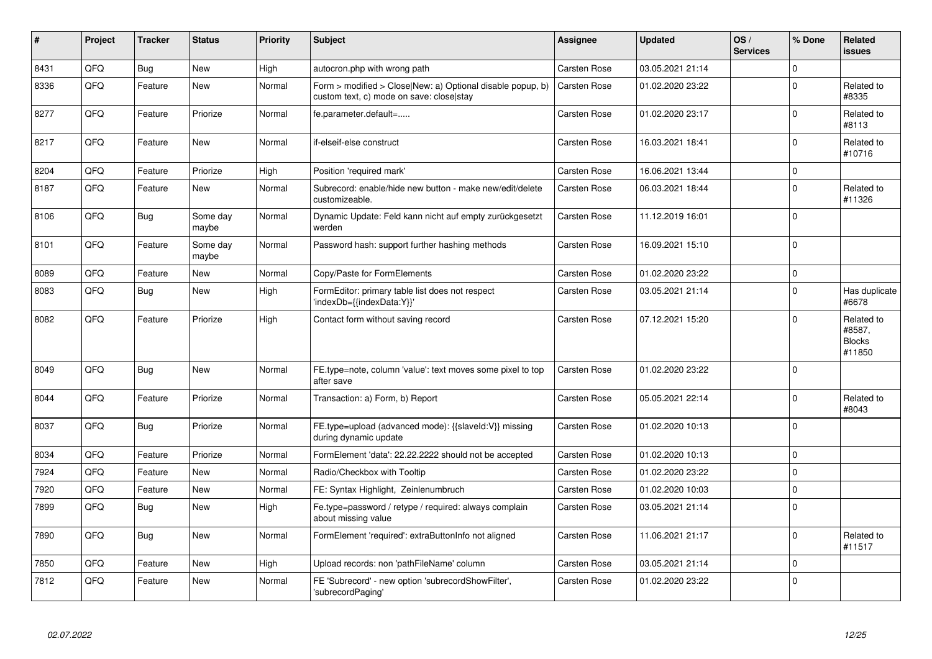| #    | Project | <b>Tracker</b> | <b>Status</b>     | <b>Priority</b> | <b>Subject</b>                                                                                         | Assignee            | <b>Updated</b>   | OS/<br><b>Services</b> | % Done      | Related<br>issues                               |
|------|---------|----------------|-------------------|-----------------|--------------------------------------------------------------------------------------------------------|---------------------|------------------|------------------------|-------------|-------------------------------------------------|
| 8431 | QFQ     | <b>Bug</b>     | <b>New</b>        | High            | autocron.php with wrong path                                                                           | Carsten Rose        | 03.05.2021 21:14 |                        | $\Omega$    |                                                 |
| 8336 | QFQ     | Feature        | <b>New</b>        | Normal          | Form > modified > Close New: a) Optional disable popup, b)<br>custom text, c) mode on save: close stay | <b>Carsten Rose</b> | 01.02.2020 23:22 |                        | $\Omega$    | Related to<br>#8335                             |
| 8277 | QFQ     | Feature        | Priorize          | Normal          | fe.parameter.default=                                                                                  | Carsten Rose        | 01.02.2020 23:17 |                        | $\Omega$    | Related to<br>#8113                             |
| 8217 | QFQ     | Feature        | <b>New</b>        | Normal          | if-elseif-else construct                                                                               | Carsten Rose        | 16.03.2021 18:41 |                        | $\Omega$    | Related to<br>#10716                            |
| 8204 | QFQ     | Feature        | Priorize          | High            | Position 'required mark'                                                                               | Carsten Rose        | 16.06.2021 13:44 |                        | $\mathbf 0$ |                                                 |
| 8187 | QFQ     | Feature        | <b>New</b>        | Normal          | Subrecord: enable/hide new button - make new/edit/delete<br>customizeable.                             | Carsten Rose        | 06.03.2021 18:44 |                        | $\Omega$    | Related to<br>#11326                            |
| 8106 | QFQ     | <b>Bug</b>     | Some day<br>maybe | Normal          | Dynamic Update: Feld kann nicht auf empty zurückgesetzt<br>werden                                      | Carsten Rose        | 11.12.2019 16:01 |                        | $\Omega$    |                                                 |
| 8101 | QFQ     | Feature        | Some day<br>maybe | Normal          | Password hash: support further hashing methods                                                         | Carsten Rose        | 16.09.2021 15:10 |                        | $\Omega$    |                                                 |
| 8089 | QFQ     | Feature        | <b>New</b>        | Normal          | Copy/Paste for FormElements                                                                            | Carsten Rose        | 01.02.2020 23:22 |                        | $\Omega$    |                                                 |
| 8083 | QFQ     | Bug            | <b>New</b>        | High            | FormEditor: primary table list does not respect<br>'indexDb={{indexData:Y}}'                           | Carsten Rose        | 03.05.2021 21:14 |                        | $\mathbf 0$ | Has duplicate<br>#6678                          |
| 8082 | QFQ     | Feature        | Priorize          | High            | Contact form without saving record                                                                     | Carsten Rose        | 07.12.2021 15:20 |                        | $\Omega$    | Related to<br>#8587,<br><b>Blocks</b><br>#11850 |
| 8049 | QFQ     | Bug            | <b>New</b>        | Normal          | FE.type=note, column 'value': text moves some pixel to top<br>after save                               | <b>Carsten Rose</b> | 01.02.2020 23:22 |                        | $\Omega$    |                                                 |
| 8044 | QFQ     | Feature        | Priorize          | Normal          | Transaction: a) Form, b) Report                                                                        | Carsten Rose        | 05.05.2021 22:14 |                        | $\Omega$    | Related to<br>#8043                             |
| 8037 | QFQ     | Bug            | Priorize          | Normal          | FE.type=upload (advanced mode): {{slaveld:V}} missing<br>during dynamic update                         | Carsten Rose        | 01.02.2020 10:13 |                        | $\Omega$    |                                                 |
| 8034 | QFQ     | Feature        | Priorize          | Normal          | FormElement 'data': 22.22.2222 should not be accepted                                                  | Carsten Rose        | 01.02.2020 10:13 |                        | $\mathbf 0$ |                                                 |
| 7924 | QFQ     | Feature        | <b>New</b>        | Normal          | Radio/Checkbox with Tooltip                                                                            | Carsten Rose        | 01.02.2020 23:22 |                        | $\Omega$    |                                                 |
| 7920 | QFQ     | Feature        | <b>New</b>        | Normal          | FE: Syntax Highlight, Zeinlenumbruch                                                                   | Carsten Rose        | 01.02.2020 10:03 |                        | $\Omega$    |                                                 |
| 7899 | QFQ     | <b>Bug</b>     | <b>New</b>        | High            | Fe.type=password / retype / required: always complain<br>about missing value                           | Carsten Rose        | 03.05.2021 21:14 |                        | $\Omega$    |                                                 |
| 7890 | QFQ     | <b>Bug</b>     | <b>New</b>        | Normal          | FormElement 'required': extraButtonInfo not aligned                                                    | Carsten Rose        | 11.06.2021 21:17 |                        | $\Omega$    | Related to<br>#11517                            |
| 7850 | QFQ     | Feature        | <b>New</b>        | High            | Upload records: non 'pathFileName' column                                                              | Carsten Rose        | 03.05.2021 21:14 |                        | $\Omega$    |                                                 |
| 7812 | QFQ     | Feature        | <b>New</b>        | Normal          | FE 'Subrecord' - new option 'subrecordShowFilter',<br>'subrecordPaging'                                | Carsten Rose        | 01.02.2020 23:22 |                        | $\Omega$    |                                                 |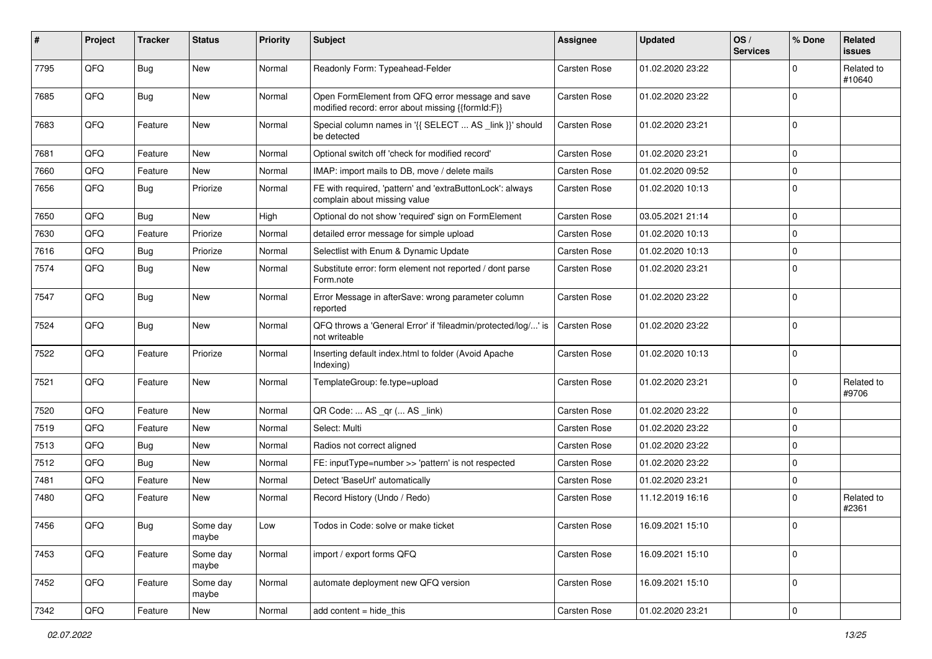| #    | Project | <b>Tracker</b> | <b>Status</b>     | <b>Priority</b> | <b>Subject</b>                                                                                        | <b>Assignee</b>     | <b>Updated</b>   | OS/<br><b>Services</b> | % Done      | Related<br>issues    |
|------|---------|----------------|-------------------|-----------------|-------------------------------------------------------------------------------------------------------|---------------------|------------------|------------------------|-------------|----------------------|
| 7795 | QFQ     | <b>Bug</b>     | <b>New</b>        | Normal          | Readonly Form: Typeahead-Felder                                                                       | <b>Carsten Rose</b> | 01.02.2020 23:22 |                        | 0           | Related to<br>#10640 |
| 7685 | QFQ     | <b>Bug</b>     | New               | Normal          | Open FormElement from QFQ error message and save<br>modified record: error about missing {{formId:F}} | <b>Carsten Rose</b> | 01.02.2020 23:22 |                        | $\mathbf 0$ |                      |
| 7683 | QFQ     | Feature        | New               | Normal          | Special column names in '{{ SELECT  AS _link }}' should<br>be detected                                | <b>Carsten Rose</b> | 01.02.2020 23:21 |                        | 0           |                      |
| 7681 | QFQ     | Feature        | New               | Normal          | Optional switch off 'check for modified record'                                                       | <b>Carsten Rose</b> | 01.02.2020 23:21 |                        | 0           |                      |
| 7660 | QFQ     | Feature        | New               | Normal          | IMAP: import mails to DB, move / delete mails                                                         | <b>Carsten Rose</b> | 01.02.2020 09:52 |                        | 0           |                      |
| 7656 | QFQ     | <b>Bug</b>     | Priorize          | Normal          | FE with required, 'pattern' and 'extraButtonLock': always<br>complain about missing value             | Carsten Rose        | 01.02.2020 10:13 |                        | $\mathbf 0$ |                      |
| 7650 | QFQ     | Bug            | New               | High            | Optional do not show 'required' sign on FormElement                                                   | <b>Carsten Rose</b> | 03.05.2021 21:14 |                        | $\mathbf 0$ |                      |
| 7630 | QFQ     | Feature        | Priorize          | Normal          | detailed error message for simple upload                                                              | Carsten Rose        | 01.02.2020 10:13 |                        | 0           |                      |
| 7616 | QFQ     | Bug            | Priorize          | Normal          | Selectlist with Enum & Dynamic Update                                                                 | Carsten Rose        | 01.02.2020 10:13 |                        | 0           |                      |
| 7574 | QFQ     | Bug            | New               | Normal          | Substitute error: form element not reported / dont parse<br>Form.note                                 | Carsten Rose        | 01.02.2020 23:21 |                        | $\mathbf 0$ |                      |
| 7547 | QFQ     | <b>Bug</b>     | New               | Normal          | Error Message in afterSave: wrong parameter column<br>reported                                        | <b>Carsten Rose</b> | 01.02.2020 23:22 |                        | 0           |                      |
| 7524 | QFQ     | Bug            | New               | Normal          | QFQ throws a 'General Error' if 'fileadmin/protected/log/' is<br>not writeable                        | Carsten Rose        | 01.02.2020 23:22 |                        | $\mathbf 0$ |                      |
| 7522 | QFQ     | Feature        | Priorize          | Normal          | Inserting default index.html to folder (Avoid Apache<br>Indexing)                                     | Carsten Rose        | 01.02.2020 10:13 |                        | $\mathbf 0$ |                      |
| 7521 | QFQ     | Feature        | New               | Normal          | TemplateGroup: fe.type=upload                                                                         | Carsten Rose        | 01.02.2020 23:21 |                        | $\mathbf 0$ | Related to<br>#9706  |
| 7520 | QFQ     | Feature        | New               | Normal          | QR Code:  AS _qr ( AS _link)                                                                          | Carsten Rose        | 01.02.2020 23:22 |                        | $\mathbf 0$ |                      |
| 7519 | QFQ     | Feature        | New               | Normal          | Select: Multi                                                                                         | Carsten Rose        | 01.02.2020 23:22 |                        | $\mathbf 0$ |                      |
| 7513 | QFQ     | <b>Bug</b>     | New               | Normal          | Radios not correct aligned                                                                            | <b>Carsten Rose</b> | 01.02.2020 23:22 |                        | $\mathbf 0$ |                      |
| 7512 | QFQ     | <b>Bug</b>     | New               | Normal          | FE: inputType=number >> 'pattern' is not respected                                                    | Carsten Rose        | 01.02.2020 23:22 |                        | 0           |                      |
| 7481 | QFQ     | Feature        | New               | Normal          | Detect 'BaseUrl' automatically                                                                        | <b>Carsten Rose</b> | 01.02.2020 23:21 |                        | 0           |                      |
| 7480 | QFQ     | Feature        | New               | Normal          | Record History (Undo / Redo)                                                                          | Carsten Rose        | 11.12.2019 16:16 |                        | $\mathbf 0$ | Related to<br>#2361  |
| 7456 | QFQ     | <b>Bug</b>     | Some day<br>maybe | Low             | Todos in Code: solve or make ticket                                                                   | Carsten Rose        | 16.09.2021 15:10 |                        | $\Omega$    |                      |
| 7453 | QFQ     | Feature        | Some day<br>maybe | Normal          | import / export forms QFQ                                                                             | Carsten Rose        | 16.09.2021 15:10 |                        | $\pmb{0}$   |                      |
| 7452 | QFQ     | Feature        | Some day<br>maybe | Normal          | automate deployment new QFQ version                                                                   | Carsten Rose        | 16.09.2021 15:10 |                        | $\mathbf 0$ |                      |
| 7342 | QFQ     | Feature        | New               | Normal          | add content = hide_this                                                                               | Carsten Rose        | 01.02.2020 23:21 |                        | $\pmb{0}$   |                      |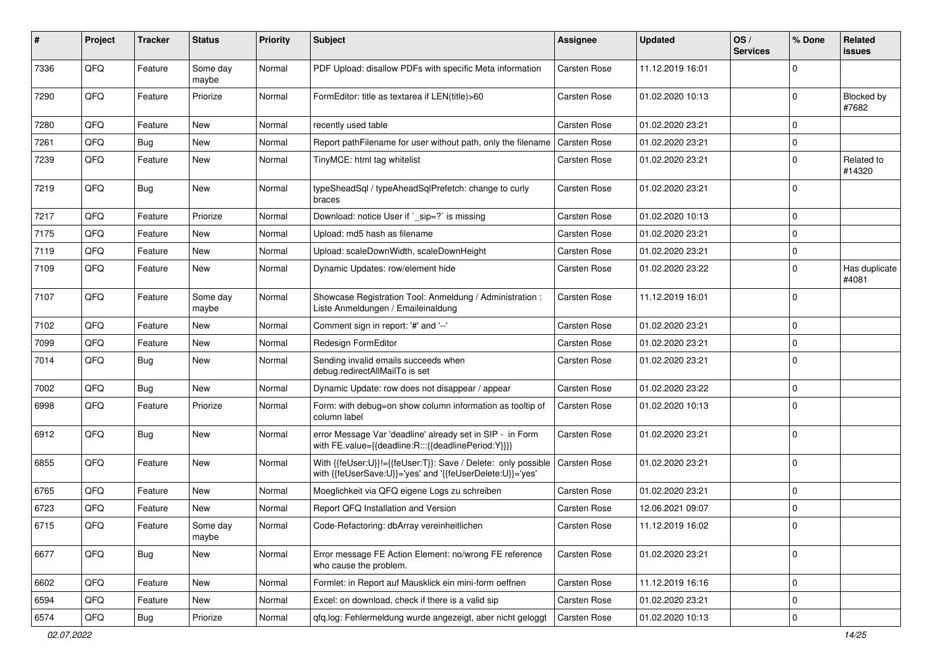| #    | Project        | <b>Tracker</b> | <b>Status</b>     | <b>Priority</b> | Subject                                                                                                                    | <b>Assignee</b>     | <b>Updated</b>   | OS/<br><b>Services</b> | % Done      | <b>Related</b><br>issues   |
|------|----------------|----------------|-------------------|-----------------|----------------------------------------------------------------------------------------------------------------------------|---------------------|------------------|------------------------|-------------|----------------------------|
| 7336 | QFQ            | Feature        | Some day<br>maybe | Normal          | PDF Upload: disallow PDFs with specific Meta information                                                                   | <b>Carsten Rose</b> | 11.12.2019 16:01 |                        | $\Omega$    |                            |
| 7290 | QFQ            | Feature        | Priorize          | Normal          | FormEditor: title as textarea if LEN(title)>60                                                                             | Carsten Rose        | 01.02.2020 10:13 |                        | $\Omega$    | <b>Blocked by</b><br>#7682 |
| 7280 | QFQ            | Feature        | New               | Normal          | recently used table                                                                                                        | Carsten Rose        | 01.02.2020 23:21 |                        | $\Omega$    |                            |
| 7261 | QFQ            | <b>Bug</b>     | <b>New</b>        | Normal          | Report pathFilename for user without path, only the filename                                                               | <b>Carsten Rose</b> | 01.02.2020 23:21 |                        | $\Omega$    |                            |
| 7239 | QFQ            | Feature        | New               | Normal          | TinyMCE: html tag whitelist                                                                                                | Carsten Rose        | 01.02.2020 23:21 |                        | $\mathbf 0$ | Related to<br>#14320       |
| 7219 | QFQ            | <b>Bug</b>     | <b>New</b>        | Normal          | typeSheadSql / typeAheadSqlPrefetch: change to curly<br>braces                                                             | Carsten Rose        | 01.02.2020 23:21 |                        | $\Omega$    |                            |
| 7217 | QFQ            | Feature        | Priorize          | Normal          | Download: notice User if `_sip=?` is missing                                                                               | Carsten Rose        | 01.02.2020 10:13 |                        | $\Omega$    |                            |
| 7175 | QFQ            | Feature        | <b>New</b>        | Normal          | Upload: md5 hash as filename                                                                                               | Carsten Rose        | 01.02.2020 23:21 |                        | $\Omega$    |                            |
| 7119 | QFQ            | Feature        | New               | Normal          | Upload: scaleDownWidth, scaleDownHeight                                                                                    | Carsten Rose        | 01.02.2020 23:21 |                        | $\mathbf 0$ |                            |
| 7109 | QFQ            | Feature        | New               | Normal          | Dynamic Updates: row/element hide                                                                                          | Carsten Rose        | 01.02.2020 23:22 |                        | $\mathbf 0$ | Has duplicate<br>#4081     |
| 7107 | QFQ            | Feature        | Some day<br>maybe | Normal          | Showcase Registration Tool: Anmeldung / Administration :<br>Liste Anmeldungen / Emaileinaldung                             | Carsten Rose        | 11.12.2019 16:01 |                        | $\Omega$    |                            |
| 7102 | QFQ            | Feature        | New               | Normal          | Comment sign in report: '#' and '--'                                                                                       | Carsten Rose        | 01.02.2020 23:21 |                        | $\mathbf 0$ |                            |
| 7099 | QFQ            | Feature        | <b>New</b>        | Normal          | Redesign FormEditor                                                                                                        | Carsten Rose        | 01.02.2020 23:21 |                        | $\Omega$    |                            |
| 7014 | QFQ            | <b>Bug</b>     | New               | Normal          | Sending invalid emails succeeds when<br>debug.redirectAllMailTo is set                                                     | Carsten Rose        | 01.02.2020 23:21 |                        | $\Omega$    |                            |
| 7002 | QFQ            | Bug            | New               | Normal          | Dynamic Update: row does not disappear / appear                                                                            | Carsten Rose        | 01.02.2020 23:22 |                        | $\Omega$    |                            |
| 6998 | QFQ            | Feature        | Priorize          | Normal          | Form: with debug=on show column information as tooltip of<br>column label                                                  | Carsten Rose        | 01.02.2020 10:13 |                        | $\Omega$    |                            |
| 6912 | QFQ            | <b>Bug</b>     | <b>New</b>        | Normal          | error Message Var 'deadline' already set in SIP - in Form<br>with FE.value={{deadline:R:::{{deadlinePeriod:Y}}}}           | Carsten Rose        | 01.02.2020 23:21 |                        | $\Omega$    |                            |
| 6855 | QFQ            | Feature        | New               | Normal          | With {{feUser:U}}!={{feUser:T}}: Save / Delete: only possible<br>with {{feUserSave:U}}='yes' and '{{feUserDelete:U}}='yes' | <b>Carsten Rose</b> | 01.02.2020 23:21 |                        | $\Omega$    |                            |
| 6765 | QFQ            | Feature        | New               | Normal          | Moeglichkeit via QFQ eigene Logs zu schreiben                                                                              | Carsten Rose        | 01.02.2020 23:21 |                        | $\Omega$    |                            |
| 6723 | QFQ            | Feature        | New               | Normal          | Report QFQ Installation and Version                                                                                        | Carsten Rose        | 12.06.2021 09:07 |                        | $\Omega$    |                            |
| 6715 | $\mathsf{QFQ}$ | Feature        | Some day<br>maybe | Normal          | Code-Refactoring: dbArray vereinheitlichen                                                                                 | Carsten Rose        | 11.12.2019 16:02 |                        | $\Omega$    |                            |
| 6677 | QFQ            | Bug            | New               | Normal          | Error message FE Action Element: no/wrong FE reference<br>who cause the problem.                                           | Carsten Rose        | 01.02.2020 23:21 |                        | 0           |                            |
| 6602 | QFQ            | Feature        | New               | Normal          | Formlet: in Report auf Mausklick ein mini-form oeffnen                                                                     | Carsten Rose        | 11.12.2019 16:16 |                        | $\mathbf 0$ |                            |
| 6594 | QFQ            | Feature        | New               | Normal          | Excel: on download, check if there is a valid sip                                                                          | Carsten Rose        | 01.02.2020 23:21 |                        | $\mathbf 0$ |                            |
| 6574 | QFQ            | Bug            | Priorize          | Normal          | qfq.log: Fehlermeldung wurde angezeigt, aber nicht geloggt                                                                 | Carsten Rose        | 01.02.2020 10:13 |                        | $\pmb{0}$   |                            |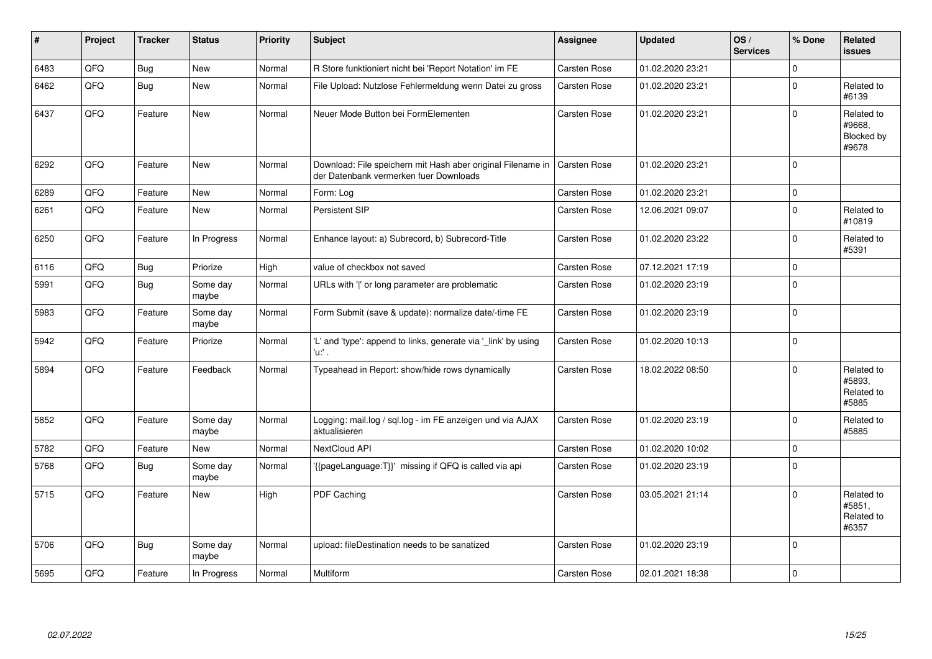| #    | Project | <b>Tracker</b> | <b>Status</b>     | <b>Priority</b> | <b>Subject</b>                                                                                        | <b>Assignee</b>     | <b>Updated</b>   | OS/<br><b>Services</b> | % Done       | Related<br><b>issues</b>                    |
|------|---------|----------------|-------------------|-----------------|-------------------------------------------------------------------------------------------------------|---------------------|------------------|------------------------|--------------|---------------------------------------------|
| 6483 | QFQ     | <b>Bug</b>     | New               | Normal          | R Store funktioniert nicht bei 'Report Notation' im FE                                                | Carsten Rose        | 01.02.2020 23:21 |                        | 0            |                                             |
| 6462 | QFQ     | Bug            | New               | Normal          | File Upload: Nutzlose Fehlermeldung wenn Datei zu gross                                               | Carsten Rose        | 01.02.2020 23:21 |                        | $\pmb{0}$    | Related to<br>#6139                         |
| 6437 | QFQ     | Feature        | New               | Normal          | Neuer Mode Button bei FormElementen                                                                   | <b>Carsten Rose</b> | 01.02.2020 23:21 |                        | $\mathbf 0$  | Related to<br>#9668,<br>Blocked by<br>#9678 |
| 6292 | QFQ     | Feature        | <b>New</b>        | Normal          | Download: File speichern mit Hash aber original Filename in<br>der Datenbank vermerken fuer Downloads | <b>Carsten Rose</b> | 01.02.2020 23:21 |                        | $\mathbf 0$  |                                             |
| 6289 | QFQ     | Feature        | New               | Normal          | Form: Log                                                                                             | Carsten Rose        | 01.02.2020 23:21 |                        | $\pmb{0}$    |                                             |
| 6261 | QFQ     | Feature        | New               | Normal          | Persistent SIP                                                                                        | Carsten Rose        | 12.06.2021 09:07 |                        | $\mathbf 0$  | Related to<br>#10819                        |
| 6250 | QFQ     | Feature        | In Progress       | Normal          | Enhance layout: a) Subrecord, b) Subrecord-Title                                                      | Carsten Rose        | 01.02.2020 23:22 |                        | $\mathbf 0$  | Related to<br>#5391                         |
| 6116 | QFQ     | Bug            | Priorize          | High            | value of checkbox not saved                                                                           | Carsten Rose        | 07.12.2021 17:19 |                        | $\pmb{0}$    |                                             |
| 5991 | QFQ     | <b>Bug</b>     | Some day<br>maybe | Normal          | URLs with ' ' or long parameter are problematic                                                       | Carsten Rose        | 01.02.2020 23:19 |                        | $\mathbf 0$  |                                             |
| 5983 | QFQ     | Feature        | Some day<br>maybe | Normal          | Form Submit (save & update): normalize date/-time FE                                                  | Carsten Rose        | 01.02.2020 23:19 |                        | $\mathbf 0$  |                                             |
| 5942 | QFQ     | Feature        | Priorize          | Normal          | 'L' and 'type': append to links, generate via '_link' by using<br>'u:' .                              | Carsten Rose        | 01.02.2020 10:13 |                        | $\mathbf 0$  |                                             |
| 5894 | QFQ     | Feature        | Feedback          | Normal          | Typeahead in Report: show/hide rows dynamically                                                       | <b>Carsten Rose</b> | 18.02.2022 08:50 |                        | $\Omega$     | Related to<br>#5893.<br>Related to<br>#5885 |
| 5852 | QFQ     | Feature        | Some day<br>maybe | Normal          | Logging: mail.log / sql.log - im FE anzeigen und via AJAX<br>aktualisieren                            | Carsten Rose        | 01.02.2020 23:19 |                        | $\mathbf 0$  | Related to<br>#5885                         |
| 5782 | QFQ     | Feature        | <b>New</b>        | Normal          | NextCloud API                                                                                         | Carsten Rose        | 01.02.2020 10:02 |                        | 0            |                                             |
| 5768 | QFQ     | Bug            | Some day<br>maybe | Normal          | '{{pageLanguage:T}}' missing if QFQ is called via api                                                 | Carsten Rose        | 01.02.2020 23:19 |                        | $\mathbf 0$  |                                             |
| 5715 | QFQ     | Feature        | New               | High            | PDF Caching                                                                                           | <b>Carsten Rose</b> | 03.05.2021 21:14 |                        | $\mathbf 0$  | Related to<br>#5851,<br>Related to<br>#6357 |
| 5706 | QFQ     | Bug            | Some day<br>maybe | Normal          | upload: fileDestination needs to be sanatized                                                         | <b>Carsten Rose</b> | 01.02.2020 23:19 |                        | $\mathbf{0}$ |                                             |
| 5695 | QFQ     | Feature        | In Progress       | Normal          | Multiform                                                                                             | <b>Carsten Rose</b> | 02.01.2021 18:38 |                        | 0            |                                             |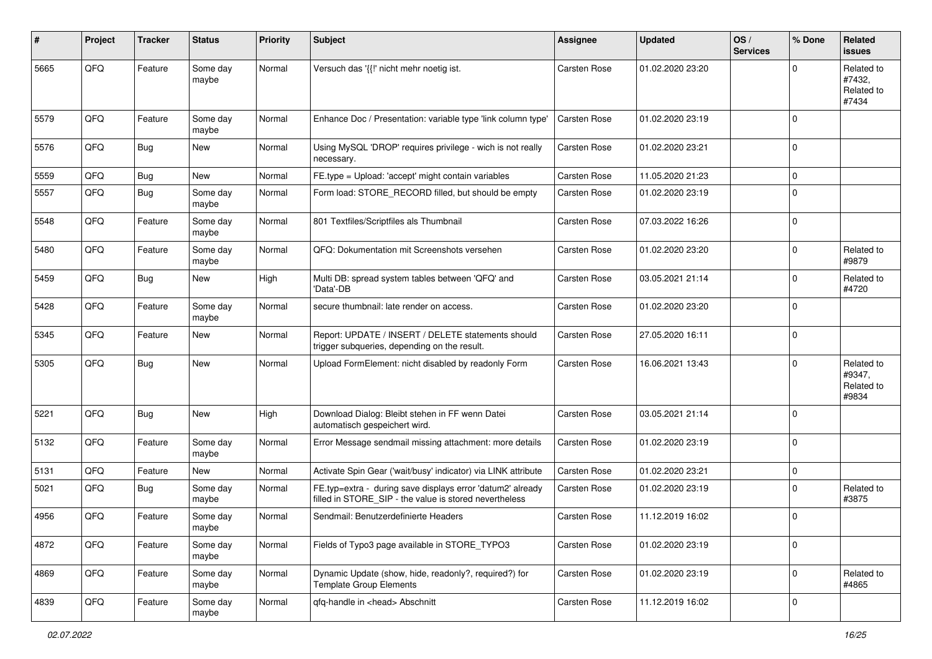| #    | Project | <b>Tracker</b> | <b>Status</b>     | <b>Priority</b> | <b>Subject</b>                                                                                                       | <b>Assignee</b>     | <b>Updated</b>   | OS/<br><b>Services</b> | % Done      | Related<br><b>issues</b>                    |
|------|---------|----------------|-------------------|-----------------|----------------------------------------------------------------------------------------------------------------------|---------------------|------------------|------------------------|-------------|---------------------------------------------|
| 5665 | QFQ     | Feature        | Some day<br>maybe | Normal          | Versuch das '{{!' nicht mehr noetig ist.                                                                             | Carsten Rose        | 01.02.2020 23:20 |                        | $\Omega$    | Related to<br>#7432.<br>Related to<br>#7434 |
| 5579 | QFQ     | Feature        | Some day<br>maybe | Normal          | Enhance Doc / Presentation: variable type 'link column type'                                                         | Carsten Rose        | 01.02.2020 23:19 |                        | $\mathbf 0$ |                                             |
| 5576 | QFQ     | <b>Bug</b>     | New               | Normal          | Using MySQL 'DROP' requires privilege - wich is not really<br>necessary.                                             | Carsten Rose        | 01.02.2020 23:21 |                        | $\mathbf 0$ |                                             |
| 5559 | QFQ     | Bug            | <b>New</b>        | Normal          | FE.type = Upload: 'accept' might contain variables                                                                   | <b>Carsten Rose</b> | 11.05.2020 21:23 |                        | $\mathbf 0$ |                                             |
| 5557 | QFQ     | Bug            | Some day<br>maybe | Normal          | Form load: STORE_RECORD filled, but should be empty                                                                  | Carsten Rose        | 01.02.2020 23:19 |                        | $\mathbf 0$ |                                             |
| 5548 | QFQ     | Feature        | Some day<br>maybe | Normal          | 801 Textfiles/Scriptfiles als Thumbnail                                                                              | Carsten Rose        | 07.03.2022 16:26 |                        | $\mathbf 0$ |                                             |
| 5480 | QFQ     | Feature        | Some day<br>maybe | Normal          | QFQ: Dokumentation mit Screenshots versehen                                                                          | <b>Carsten Rose</b> | 01.02.2020 23:20 |                        | $\mathbf 0$ | Related to<br>#9879                         |
| 5459 | QFQ     | <b>Bug</b>     | New               | High            | Multi DB: spread system tables between 'QFQ' and<br>'Data'-DB                                                        | <b>Carsten Rose</b> | 03.05.2021 21:14 |                        | $\mathbf 0$ | Related to<br>#4720                         |
| 5428 | QFQ     | Feature        | Some day<br>maybe | Normal          | secure thumbnail: late render on access.                                                                             | <b>Carsten Rose</b> | 01.02.2020 23:20 |                        | $\mathbf 0$ |                                             |
| 5345 | QFQ     | Feature        | <b>New</b>        | Normal          | Report: UPDATE / INSERT / DELETE statements should<br>trigger subqueries, depending on the result.                   | <b>Carsten Rose</b> | 27.05.2020 16:11 |                        | $\mathbf 0$ |                                             |
| 5305 | QFQ     | Bug            | <b>New</b>        | Normal          | Upload FormElement: nicht disabled by readonly Form                                                                  | Carsten Rose        | 16.06.2021 13:43 |                        | $\mathbf 0$ | Related to<br>#9347,<br>Related to<br>#9834 |
| 5221 | QFQ     | <b>Bug</b>     | New               | High            | Download Dialog: Bleibt stehen in FF wenn Datei<br>automatisch gespeichert wird.                                     | Carsten Rose        | 03.05.2021 21:14 |                        | $\mathbf 0$ |                                             |
| 5132 | QFQ     | Feature        | Some day<br>maybe | Normal          | Error Message sendmail missing attachment: more details                                                              | Carsten Rose        | 01.02.2020 23:19 |                        | $\mathbf 0$ |                                             |
| 5131 | QFQ     | Feature        | <b>New</b>        | Normal          | Activate Spin Gear ('wait/busy' indicator) via LINK attribute                                                        | Carsten Rose        | 01.02.2020 23:21 |                        | $\mathbf 0$ |                                             |
| 5021 | QFQ     | Bug            | Some day<br>maybe | Normal          | FE.typ=extra - during save displays error 'datum2' already<br>filled in STORE SIP - the value is stored nevertheless | <b>Carsten Rose</b> | 01.02.2020 23:19 |                        | $\mathbf 0$ | Related to<br>#3875                         |
| 4956 | QFQ     | Feature        | Some day<br>maybe | Normal          | Sendmail: Benutzerdefinierte Headers                                                                                 | <b>Carsten Rose</b> | 11.12.2019 16:02 |                        | $\mathbf 0$ |                                             |
| 4872 | QFQ     | Feature        | Some day<br>maybe | Normal          | Fields of Typo3 page available in STORE_TYPO3                                                                        | Carsten Rose        | 01.02.2020 23:19 |                        | $\mathbf 0$ |                                             |
| 4869 | QFO     | Feature        | Some day<br>maybe | Normal          | Dynamic Update (show, hide, readonly?, required?) for<br><b>Template Group Elements</b>                              | Carsten Rose        | 01.02.2020 23:19 |                        | $\mathbf 0$ | Related to<br>#4865                         |
| 4839 | QFO     | Feature        | Some day<br>maybe | Normal          | qfq-handle in <head> Abschnitt</head>                                                                                | Carsten Rose        | 11.12.2019 16:02 |                        | $\mathsf 0$ |                                             |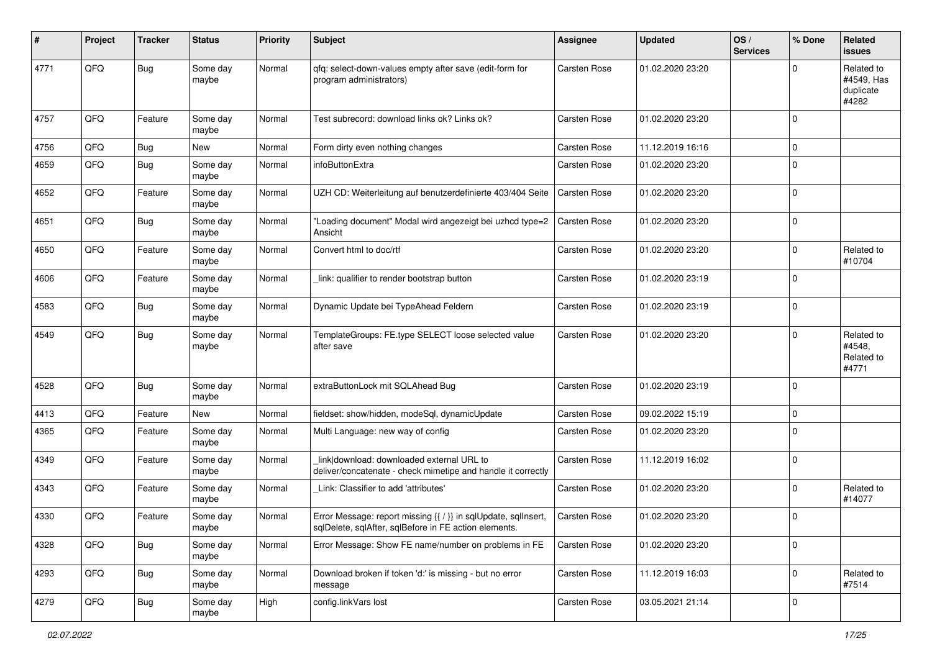| #    | Project | <b>Tracker</b> | <b>Status</b>     | <b>Priority</b> | Subject                                                                                                                 | <b>Assignee</b>     | <b>Updated</b>   | OS/<br><b>Services</b> | % Done      | Related<br>issues                              |
|------|---------|----------------|-------------------|-----------------|-------------------------------------------------------------------------------------------------------------------------|---------------------|------------------|------------------------|-------------|------------------------------------------------|
| 4771 | QFQ     | <b>Bug</b>     | Some day<br>maybe | Normal          | qfq: select-down-values empty after save (edit-form for<br>program administrators)                                      | Carsten Rose        | 01.02.2020 23:20 |                        | $\Omega$    | Related to<br>#4549, Has<br>duplicate<br>#4282 |
| 4757 | QFQ     | Feature        | Some day<br>maybe | Normal          | Test subrecord: download links ok? Links ok?                                                                            | <b>Carsten Rose</b> | 01.02.2020 23:20 |                        | $\mathbf 0$ |                                                |
| 4756 | QFQ     | <b>Bug</b>     | <b>New</b>        | Normal          | Form dirty even nothing changes                                                                                         | <b>Carsten Rose</b> | 11.12.2019 16:16 |                        | $\mathbf 0$ |                                                |
| 4659 | QFQ     | <b>Bug</b>     | Some day<br>maybe | Normal          | infoButtonExtra                                                                                                         | Carsten Rose        | 01.02.2020 23:20 |                        | $\mathbf 0$ |                                                |
| 4652 | QFQ     | Feature        | Some day<br>maybe | Normal          | UZH CD: Weiterleitung auf benutzerdefinierte 403/404 Seite                                                              | Carsten Rose        | 01.02.2020 23:20 |                        | $\mathbf 0$ |                                                |
| 4651 | QFQ     | Bug            | Some day<br>maybe | Normal          | "Loading document" Modal wird angezeigt bei uzhcd type=2<br>Ansicht                                                     | <b>Carsten Rose</b> | 01.02.2020 23:20 |                        | $\mathbf 0$ |                                                |
| 4650 | QFQ     | Feature        | Some day<br>maybe | Normal          | Convert html to doc/rtf                                                                                                 | <b>Carsten Rose</b> | 01.02.2020 23:20 |                        | $\mathbf 0$ | Related to<br>#10704                           |
| 4606 | QFQ     | Feature        | Some day<br>maybe | Normal          | link: qualifier to render bootstrap button                                                                              | Carsten Rose        | 01.02.2020 23:19 |                        | $\mathbf 0$ |                                                |
| 4583 | QFQ     | <b>Bug</b>     | Some day<br>maybe | Normal          | Dynamic Update bei TypeAhead Feldern                                                                                    | Carsten Rose        | 01.02.2020 23:19 |                        | $\mathbf 0$ |                                                |
| 4549 | QFQ     | Bug            | Some day<br>maybe | Normal          | TemplateGroups: FE.type SELECT loose selected value<br>after save                                                       | <b>Carsten Rose</b> | 01.02.2020 23:20 |                        | $\mathbf 0$ | Related to<br>#4548,<br>Related to<br>#4771    |
| 4528 | QFQ     | <b>Bug</b>     | Some day<br>maybe | Normal          | extraButtonLock mit SQLAhead Bug                                                                                        | <b>Carsten Rose</b> | 01.02.2020 23:19 |                        | $\mathbf 0$ |                                                |
| 4413 | QFQ     | Feature        | <b>New</b>        | Normal          | fieldset: show/hidden, modeSql, dynamicUpdate                                                                           | <b>Carsten Rose</b> | 09.02.2022 15:19 |                        | $\mathbf 0$ |                                                |
| 4365 | QFQ     | Feature        | Some day<br>maybe | Normal          | Multi Language: new way of config                                                                                       | Carsten Rose        | 01.02.2020 23:20 |                        | $\mathbf 0$ |                                                |
| 4349 | QFQ     | Feature        | Some day<br>maybe | Normal          | link download: downloaded external URL to<br>deliver/concatenate - check mimetipe and handle it correctly               | Carsten Rose        | 11.12.2019 16:02 |                        | $\mathbf 0$ |                                                |
| 4343 | QFQ     | Feature        | Some day<br>maybe | Normal          | Link: Classifier to add 'attributes'                                                                                    | Carsten Rose        | 01.02.2020 23:20 |                        | $\mathbf 0$ | Related to<br>#14077                           |
| 4330 | QFQ     | Feature        | Some day<br>maybe | Normal          | Error Message: report missing {{ / }} in sqlUpdate, sqlInsert,<br>sqlDelete, sqlAfter, sqlBefore in FE action elements. | <b>Carsten Rose</b> | 01.02.2020 23:20 |                        | $\mathbf 0$ |                                                |
| 4328 | QFQ     | <b>Bug</b>     | Some day<br>maybe | Normal          | Error Message: Show FE name/number on problems in FE                                                                    | Carsten Rose        | 01.02.2020 23:20 |                        | $\mathbf 0$ |                                                |
| 4293 | QFO     | <b>Bug</b>     | Some day<br>maybe | Normal          | Download broken if token 'd:' is missing - but no error<br>message                                                      | Carsten Rose        | 11.12.2019 16:03 |                        | $\mathbf 0$ | Related to<br>#7514                            |
| 4279 | QFO     | <b>Bug</b>     | Some day<br>maybe | High            | config.linkVars lost                                                                                                    | Carsten Rose        | 03.05.2021 21:14 |                        | $\mathsf 0$ |                                                |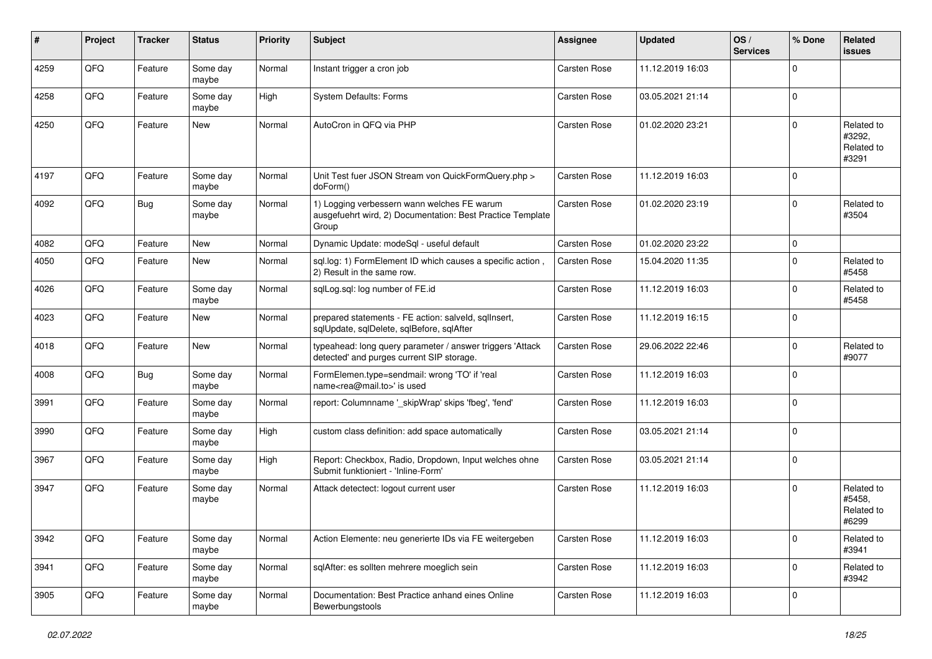| $\vert$ # | Project | <b>Tracker</b> | <b>Status</b>     | <b>Priority</b> | <b>Subject</b>                                                                                                     | <b>Assignee</b>     | <b>Updated</b>   | OS/<br><b>Services</b> | % Done      | Related<br><b>issues</b>                    |
|-----------|---------|----------------|-------------------|-----------------|--------------------------------------------------------------------------------------------------------------------|---------------------|------------------|------------------------|-------------|---------------------------------------------|
| 4259      | QFQ     | Feature        | Some day<br>maybe | Normal          | Instant trigger a cron job                                                                                         | <b>Carsten Rose</b> | 11.12.2019 16:03 |                        | $\mathbf 0$ |                                             |
| 4258      | QFQ     | Feature        | Some day<br>maybe | High            | <b>System Defaults: Forms</b>                                                                                      | <b>Carsten Rose</b> | 03.05.2021 21:14 |                        | $\mathbf 0$ |                                             |
| 4250      | QFQ     | Feature        | New               | Normal          | AutoCron in QFQ via PHP                                                                                            | <b>Carsten Rose</b> | 01.02.2020 23:21 |                        | $\mathbf 0$ | Related to<br>#3292,<br>Related to<br>#3291 |
| 4197      | QFQ     | Feature        | Some day<br>maybe | Normal          | Unit Test fuer JSON Stream von QuickFormQuery.php ><br>doForm()                                                    | Carsten Rose        | 11.12.2019 16:03 |                        | $\mathbf 0$ |                                             |
| 4092      | QFQ     | <b>Bug</b>     | Some day<br>maybe | Normal          | 1) Logging verbessern wann welches FE warum<br>ausgefuehrt wird, 2) Documentation: Best Practice Template<br>Group | Carsten Rose        | 01.02.2020 23:19 |                        | $\mathbf 0$ | Related to<br>#3504                         |
| 4082      | QFQ     | Feature        | New               | Normal          | Dynamic Update: modeSql - useful default                                                                           | Carsten Rose        | 01.02.2020 23:22 |                        | $\pmb{0}$   |                                             |
| 4050      | QFQ     | Feature        | New               | Normal          | sql.log: 1) FormElement ID which causes a specific action,<br>2) Result in the same row.                           | Carsten Rose        | 15.04.2020 11:35 |                        | $\mathbf 0$ | Related to<br>#5458                         |
| 4026      | QFQ     | Feature        | Some day<br>maybe | Normal          | sqlLog.sql: log number of FE.id                                                                                    | Carsten Rose        | 11.12.2019 16:03 |                        | $\mathbf 0$ | Related to<br>#5458                         |
| 4023      | QFQ     | Feature        | New               | Normal          | prepared statements - FE action: salveld, sqllnsert,<br>sqlUpdate, sqlDelete, sqlBefore, sqlAfter                  | Carsten Rose        | 11.12.2019 16:15 |                        | $\mathbf 0$ |                                             |
| 4018      | QFQ     | Feature        | New               | Normal          | typeahead: long query parameter / answer triggers 'Attack<br>detected' and purges current SIP storage.             | Carsten Rose        | 29.06.2022 22:46 |                        | $\mathbf 0$ | Related to<br>#9077                         |
| 4008      | QFQ     | <b>Bug</b>     | Some day<br>maybe | Normal          | FormElemen.type=sendmail: wrong 'TO' if 'real<br>name <rea@mail.to>' is used</rea@mail.to>                         | Carsten Rose        | 11.12.2019 16:03 |                        | $\mathbf 0$ |                                             |
| 3991      | QFQ     | Feature        | Some day<br>maybe | Normal          | report: Columnname '_skipWrap' skips 'fbeg', 'fend'                                                                | Carsten Rose        | 11.12.2019 16:03 |                        | $\mathbf 0$ |                                             |
| 3990      | QFQ     | Feature        | Some day<br>maybe | High            | custom class definition: add space automatically                                                                   | Carsten Rose        | 03.05.2021 21:14 |                        | $\mathbf 0$ |                                             |
| 3967      | QFQ     | Feature        | Some day<br>maybe | High            | Report: Checkbox, Radio, Dropdown, Input welches ohne<br>Submit funktioniert - 'Inline-Form'                       | Carsten Rose        | 03.05.2021 21:14 |                        | $\mathbf 0$ |                                             |
| 3947      | QFQ     | Feature        | Some day<br>maybe | Normal          | Attack detectect: logout current user                                                                              | Carsten Rose        | 11.12.2019 16:03 |                        | $\mathbf 0$ | Related to<br>#5458.<br>Related to<br>#6299 |
| 3942      | QFQ     | Feature        | Some day<br>maybe | Normal          | Action Elemente: neu generierte IDs via FE weitergeben                                                             | Carsten Rose        | 11.12.2019 16:03 |                        | $\mathsf 0$ | Related to<br>#3941                         |
| 3941      | QFO     | Feature        | Some day<br>maybe | Normal          | sqlAfter: es sollten mehrere moeglich sein                                                                         | Carsten Rose        | 11.12.2019 16:03 |                        | $\mathbf 0$ | Related to<br>#3942                         |
| 3905      | QFQ     | Feature        | Some day<br>maybe | Normal          | Documentation: Best Practice anhand eines Online<br>Bewerbungstools                                                | Carsten Rose        | 11.12.2019 16:03 |                        | $\mathbf 0$ |                                             |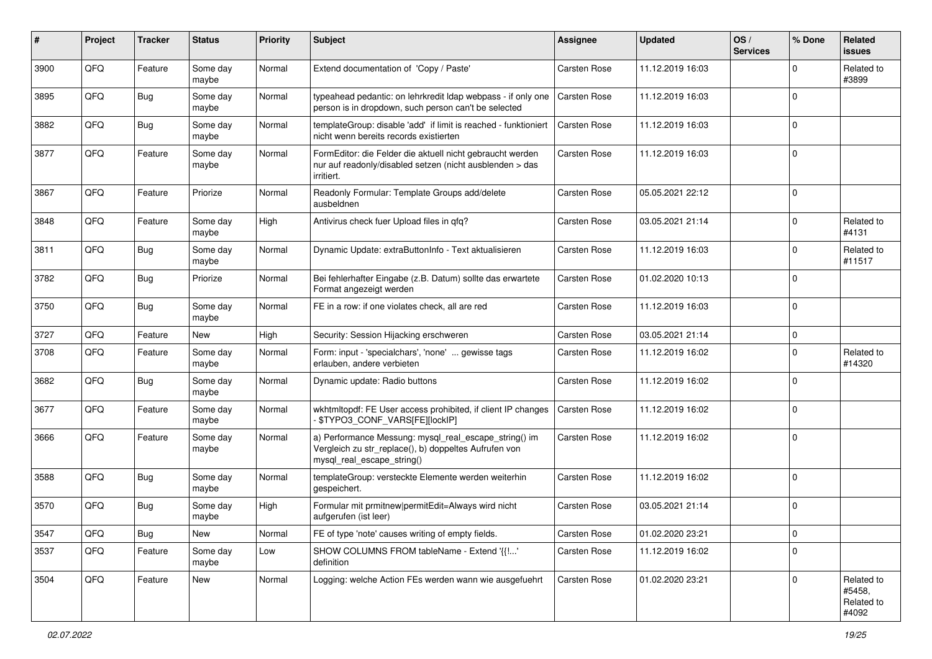| #    | Project | <b>Tracker</b> | <b>Status</b>     | <b>Priority</b> | Subject                                                                                                                                      | <b>Assignee</b>     | <b>Updated</b>   | OS/<br><b>Services</b> | % Done      | Related<br>issues                           |
|------|---------|----------------|-------------------|-----------------|----------------------------------------------------------------------------------------------------------------------------------------------|---------------------|------------------|------------------------|-------------|---------------------------------------------|
| 3900 | QFQ     | Feature        | Some day<br>maybe | Normal          | Extend documentation of 'Copy / Paste'                                                                                                       | <b>Carsten Rose</b> | 11.12.2019 16:03 |                        | $\mathbf 0$ | Related to<br>#3899                         |
| 3895 | QFQ     | Bug            | Some day<br>maybe | Normal          | typeahead pedantic: on lehrkredit Idap webpass - if only one<br>person is in dropdown, such person can't be selected                         | Carsten Rose        | 11.12.2019 16:03 |                        | $\mathbf 0$ |                                             |
| 3882 | QFQ     | Bug            | Some day<br>maybe | Normal          | templateGroup: disable 'add' if limit is reached - funktioniert<br>nicht wenn bereits records existierten                                    | <b>Carsten Rose</b> | 11.12.2019 16:03 |                        | $\mathbf 0$ |                                             |
| 3877 | QFQ     | Feature        | Some day<br>maybe | Normal          | FormEditor: die Felder die aktuell nicht gebraucht werden<br>nur auf readonly/disabled setzen (nicht ausblenden > das<br>irritiert.          | Carsten Rose        | 11.12.2019 16:03 |                        | $\mathbf 0$ |                                             |
| 3867 | QFQ     | Feature        | Priorize          | Normal          | Readonly Formular: Template Groups add/delete<br>ausbeldnen                                                                                  | Carsten Rose        | 05.05.2021 22:12 |                        | $\mathbf 0$ |                                             |
| 3848 | QFQ     | Feature        | Some day<br>maybe | High            | Antivirus check fuer Upload files in qfq?                                                                                                    | <b>Carsten Rose</b> | 03.05.2021 21:14 |                        | $\mathbf 0$ | Related to<br>#4131                         |
| 3811 | QFQ     | <b>Bug</b>     | Some day<br>maybe | Normal          | Dynamic Update: extraButtonInfo - Text aktualisieren                                                                                         | Carsten Rose        | 11.12.2019 16:03 |                        | $\mathbf 0$ | Related to<br>#11517                        |
| 3782 | QFQ     | <b>Bug</b>     | Priorize          | Normal          | Bei fehlerhafter Eingabe (z.B. Datum) sollte das erwartete<br>Format angezeigt werden                                                        | Carsten Rose        | 01.02.2020 10:13 |                        | $\mathbf 0$ |                                             |
| 3750 | QFQ     | <b>Bug</b>     | Some day<br>maybe | Normal          | FE in a row: if one violates check, all are red                                                                                              | Carsten Rose        | 11.12.2019 16:03 |                        | $\mathbf 0$ |                                             |
| 3727 | QFQ     | Feature        | New               | High            | Security: Session Hijacking erschweren                                                                                                       | Carsten Rose        | 03.05.2021 21:14 |                        | $\mathbf 0$ |                                             |
| 3708 | QFQ     | Feature        | Some day<br>maybe | Normal          | Form: input - 'specialchars', 'none'  gewisse tags<br>erlauben, andere verbieten                                                             | Carsten Rose        | 11.12.2019 16:02 |                        | $\mathbf 0$ | Related to<br>#14320                        |
| 3682 | QFQ     | <b>Bug</b>     | Some day<br>maybe | Normal          | Dynamic update: Radio buttons                                                                                                                | Carsten Rose        | 11.12.2019 16:02 |                        | $\mathbf 0$ |                                             |
| 3677 | QFQ     | Feature        | Some day<br>maybe | Normal          | wkhtmltopdf: FE User access prohibited, if client IP changes<br>\$TYPO3_CONF_VARS[FE][lockIP]                                                | Carsten Rose        | 11.12.2019 16:02 |                        | $\mathbf 0$ |                                             |
| 3666 | QFQ     | Feature        | Some day<br>maybe | Normal          | a) Performance Messung: mysql_real_escape_string() im<br>Vergleich zu str_replace(), b) doppeltes Aufrufen von<br>mysql_real_escape_string() | <b>Carsten Rose</b> | 11.12.2019 16:02 |                        | $\mathbf 0$ |                                             |
| 3588 | QFQ     | <b>Bug</b>     | Some day<br>maybe | Normal          | templateGroup: versteckte Elemente werden weiterhin<br>gespeichert.                                                                          | <b>Carsten Rose</b> | 11.12.2019 16:02 |                        | $\mathbf 0$ |                                             |
| 3570 | QFQ     | <b>Bug</b>     | Some day<br>maybe | High            | Formular mit prmitnew permitEdit=Always wird nicht<br>aufgerufen (ist leer)                                                                  | Carsten Rose        | 03.05.2021 21:14 |                        | $\mathbf 0$ |                                             |
| 3547 | QFO     | <b>Bug</b>     | New               | Normal          | FE of type 'note' causes writing of empty fields.                                                                                            | Carsten Rose        | 01.02.2020 23:21 |                        | $\,0\,$     |                                             |
| 3537 | QFQ     | Feature        | Some day<br>maybe | Low             | SHOW COLUMNS FROM tableName - Extend '{{!'<br>definition                                                                                     | Carsten Rose        | 11.12.2019 16:02 |                        | $\mathbf 0$ |                                             |
| 3504 | QFO     | Feature        | New               | Normal          | Logging: welche Action FEs werden wann wie ausgefuehrt                                                                                       | Carsten Rose        | 01.02.2020 23:21 |                        | $\mathbf 0$ | Related to<br>#5458,<br>Related to<br>#4092 |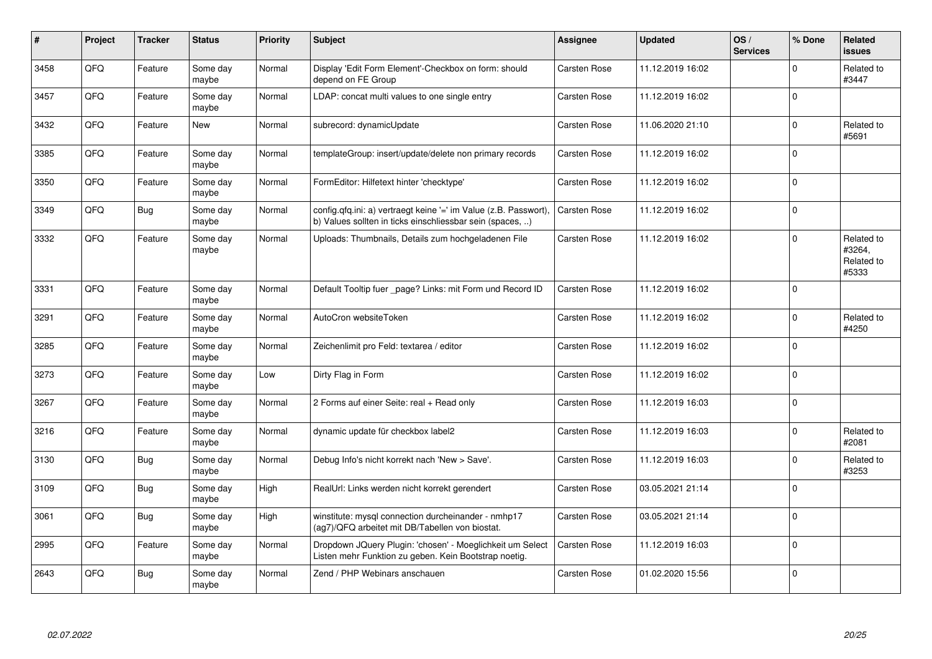| $\vert$ # | Project | <b>Tracker</b> | <b>Status</b>     | <b>Priority</b> | <b>Subject</b>                                                                                                                | <b>Assignee</b>     | <b>Updated</b>   | OS/<br><b>Services</b> | % Done      | Related<br>issues                           |
|-----------|---------|----------------|-------------------|-----------------|-------------------------------------------------------------------------------------------------------------------------------|---------------------|------------------|------------------------|-------------|---------------------------------------------|
| 3458      | QFQ     | Feature        | Some day<br>maybe | Normal          | Display 'Edit Form Element'-Checkbox on form: should<br>depend on FE Group                                                    | Carsten Rose        | 11.12.2019 16:02 |                        | $\Omega$    | Related to<br>#3447                         |
| 3457      | QFQ     | Feature        | Some day<br>maybe | Normal          | LDAP: concat multi values to one single entry                                                                                 | Carsten Rose        | 11.12.2019 16:02 |                        | $\Omega$    |                                             |
| 3432      | QFQ     | Feature        | New               | Normal          | subrecord: dynamicUpdate                                                                                                      | Carsten Rose        | 11.06.2020 21:10 |                        | 0           | Related to<br>#5691                         |
| 3385      | QFQ     | Feature        | Some day<br>maybe | Normal          | templateGroup: insert/update/delete non primary records                                                                       | Carsten Rose        | 11.12.2019 16:02 |                        | $\Omega$    |                                             |
| 3350      | QFQ     | Feature        | Some day<br>maybe | Normal          | FormEditor: Hilfetext hinter 'checktype'                                                                                      | Carsten Rose        | 11.12.2019 16:02 |                        | $\Omega$    |                                             |
| 3349      | QFQ     | <b>Bug</b>     | Some day<br>maybe | Normal          | config.qfq.ini: a) vertraegt keine '=' im Value (z.B. Passwort),<br>b) Values sollten in ticks einschliessbar sein (spaces, ) | Carsten Rose        | 11.12.2019 16:02 |                        | $\Omega$    |                                             |
| 3332      | QFQ     | Feature        | Some day<br>maybe | Normal          | Uploads: Thumbnails, Details zum hochgeladenen File                                                                           | Carsten Rose        | 11.12.2019 16:02 |                        | $\Omega$    | Related to<br>#3264,<br>Related to<br>#5333 |
| 3331      | QFQ     | Feature        | Some day<br>maybe | Normal          | Default Tooltip fuer page? Links: mit Form und Record ID                                                                      | <b>Carsten Rose</b> | 11.12.2019 16:02 |                        | $\Omega$    |                                             |
| 3291      | QFQ     | Feature        | Some day<br>maybe | Normal          | AutoCron websiteToken                                                                                                         | <b>Carsten Rose</b> | 11.12.2019 16:02 |                        | $\mathbf 0$ | Related to<br>#4250                         |
| 3285      | QFQ     | Feature        | Some day<br>maybe | Normal          | Zeichenlimit pro Feld: textarea / editor                                                                                      | Carsten Rose        | 11.12.2019 16:02 |                        | $\Omega$    |                                             |
| 3273      | QFQ     | Feature        | Some day<br>maybe | Low             | Dirty Flag in Form                                                                                                            | Carsten Rose        | 11.12.2019 16:02 |                        | $\Omega$    |                                             |
| 3267      | QFQ     | Feature        | Some day<br>maybe | Normal          | 2 Forms auf einer Seite: real + Read only                                                                                     | Carsten Rose        | 11.12.2019 16:03 |                        | $\pmb{0}$   |                                             |
| 3216      | QFQ     | Feature        | Some day<br>maybe | Normal          | dynamic update für checkbox label2                                                                                            | <b>Carsten Rose</b> | 11.12.2019 16:03 |                        | $\Omega$    | Related to<br>#2081                         |
| 3130      | QFQ     | <b>Bug</b>     | Some day<br>maybe | Normal          | Debug Info's nicht korrekt nach 'New > Save'.                                                                                 | Carsten Rose        | 11.12.2019 16:03 |                        | $\Omega$    | Related to<br>#3253                         |
| 3109      | QFQ     | <b>Bug</b>     | Some day<br>maybe | High            | RealUrl: Links werden nicht korrekt gerendert                                                                                 | Carsten Rose        | 03.05.2021 21:14 |                        | $\Omega$    |                                             |
| 3061      | QFQ     | <b>Bug</b>     | Some day<br>maybe | High            | winstitute: mysql connection durcheinander - nmhp17<br>(ag7)/QFQ arbeitet mit DB/Tabellen von biostat.                        | Carsten Rose        | 03.05.2021 21:14 |                        | $\Omega$    |                                             |
| 2995      | QFQ     | Feature        | Some day<br>maybe | Normal          | Dropdown JQuery Plugin: 'chosen' - Moeglichkeit um Select<br>Listen mehr Funktion zu geben. Kein Bootstrap noetig.            | Carsten Rose        | 11.12.2019 16:03 |                        | $\Omega$    |                                             |
| 2643      | QFQ     | <b>Bug</b>     | Some day<br>maybe | Normal          | Zend / PHP Webinars anschauen                                                                                                 | Carsten Rose        | 01.02.2020 15:56 |                        | $\Omega$    |                                             |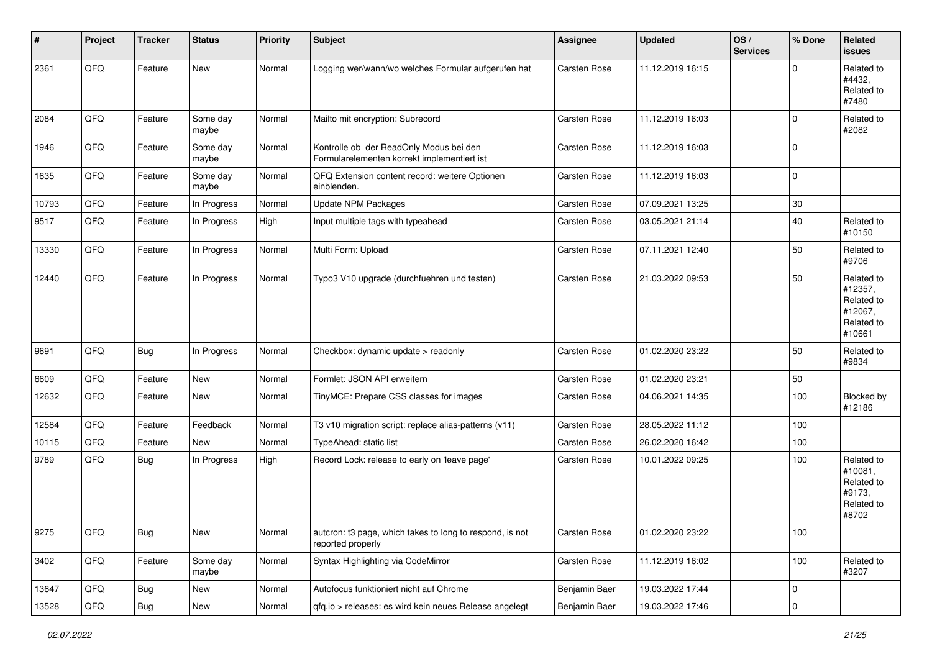| $\vert$ # | Project        | <b>Tracker</b> | <b>Status</b>     | <b>Priority</b> | <b>Subject</b>                                                                         | <b>Assignee</b>     | <b>Updated</b>   | OS/<br><b>Services</b> | % Done      | Related<br><b>issues</b>                                               |
|-----------|----------------|----------------|-------------------|-----------------|----------------------------------------------------------------------------------------|---------------------|------------------|------------------------|-------------|------------------------------------------------------------------------|
| 2361      | QFQ            | Feature        | <b>New</b>        | Normal          | Logging wer/wann/wo welches Formular aufgerufen hat                                    | Carsten Rose        | 11.12.2019 16:15 |                        | $\mathbf 0$ | Related to<br>#4432,<br>Related to<br>#7480                            |
| 2084      | QFQ            | Feature        | Some day<br>maybe | Normal          | Mailto mit encryption: Subrecord                                                       | Carsten Rose        | 11.12.2019 16:03 |                        | $\mathbf 0$ | Related to<br>#2082                                                    |
| 1946      | QFQ            | Feature        | Some day<br>maybe | Normal          | Kontrolle ob der ReadOnly Modus bei den<br>Formularelementen korrekt implementiert ist | Carsten Rose        | 11.12.2019 16:03 |                        | $\mathbf 0$ |                                                                        |
| 1635      | QFQ            | Feature        | Some day<br>maybe | Normal          | QFQ Extension content record: weitere Optionen<br>einblenden.                          | Carsten Rose        | 11.12.2019 16:03 |                        | $\mathbf 0$ |                                                                        |
| 10793     | QFQ            | Feature        | In Progress       | Normal          | Update NPM Packages                                                                    | Carsten Rose        | 07.09.2021 13:25 |                        | $30\,$      |                                                                        |
| 9517      | QFQ            | Feature        | In Progress       | High            | Input multiple tags with typeahead                                                     | Carsten Rose        | 03.05.2021 21:14 |                        | 40          | Related to<br>#10150                                                   |
| 13330     | QFQ            | Feature        | In Progress       | Normal          | Multi Form: Upload                                                                     | Carsten Rose        | 07.11.2021 12:40 |                        | 50          | Related to<br>#9706                                                    |
| 12440     | QFQ            | Feature        | In Progress       | Normal          | Typo3 V10 upgrade (durchfuehren und testen)                                            | <b>Carsten Rose</b> | 21.03.2022 09:53 |                        | 50          | Related to<br>#12357,<br>Related to<br>#12067,<br>Related to<br>#10661 |
| 9691      | QFQ            | <b>Bug</b>     | In Progress       | Normal          | Checkbox: dynamic update > readonly                                                    | Carsten Rose        | 01.02.2020 23:22 |                        | 50          | Related to<br>#9834                                                    |
| 6609      | QFQ            | Feature        | New               | Normal          | Formlet: JSON API erweitern                                                            | Carsten Rose        | 01.02.2020 23:21 |                        | 50          |                                                                        |
| 12632     | QFQ            | Feature        | New               | Normal          | TinyMCE: Prepare CSS classes for images                                                | Carsten Rose        | 04.06.2021 14:35 |                        | 100         | Blocked by<br>#12186                                                   |
| 12584     | QFQ            | Feature        | Feedback          | Normal          | T3 v10 migration script: replace alias-patterns (v11)                                  | Carsten Rose        | 28.05.2022 11:12 |                        | 100         |                                                                        |
| 10115     | QFQ            | Feature        | New               | Normal          | TypeAhead: static list                                                                 | Carsten Rose        | 26.02.2020 16:42 |                        | 100         |                                                                        |
| 9789      | QFQ            | <b>Bug</b>     | In Progress       | High            | Record Lock: release to early on 'leave page'                                          | Carsten Rose        | 10.01.2022 09:25 |                        | 100         | Related to<br>#10081,<br>Related to<br>#9173,<br>Related to<br>#8702   |
| 9275      | $\mathsf{QFQ}$ | <b>Bug</b>     | New               | Normal          | autcron: t3 page, which takes to long to respond, is not<br>reported properly          | <b>Carsten Rose</b> | 01.02.2020 23:22 |                        | 100         |                                                                        |
| 3402      | QFQ            | Feature        | Some day<br>maybe | Normal          | Syntax Highlighting via CodeMirror                                                     | Carsten Rose        | 11.12.2019 16:02 |                        | 100         | Related to<br>#3207                                                    |
| 13647     | QFQ            | <b>Bug</b>     | New               | Normal          | Autofocus funktioniert nicht auf Chrome                                                | Benjamin Baer       | 19.03.2022 17:44 |                        | $\pmb{0}$   |                                                                        |
| 13528     | $\mathsf{QFQ}$ | Bug            | New               | Normal          | qfq.io > releases: es wird kein neues Release angelegt                                 | Benjamin Baer       | 19.03.2022 17:46 |                        | $\pmb{0}$   |                                                                        |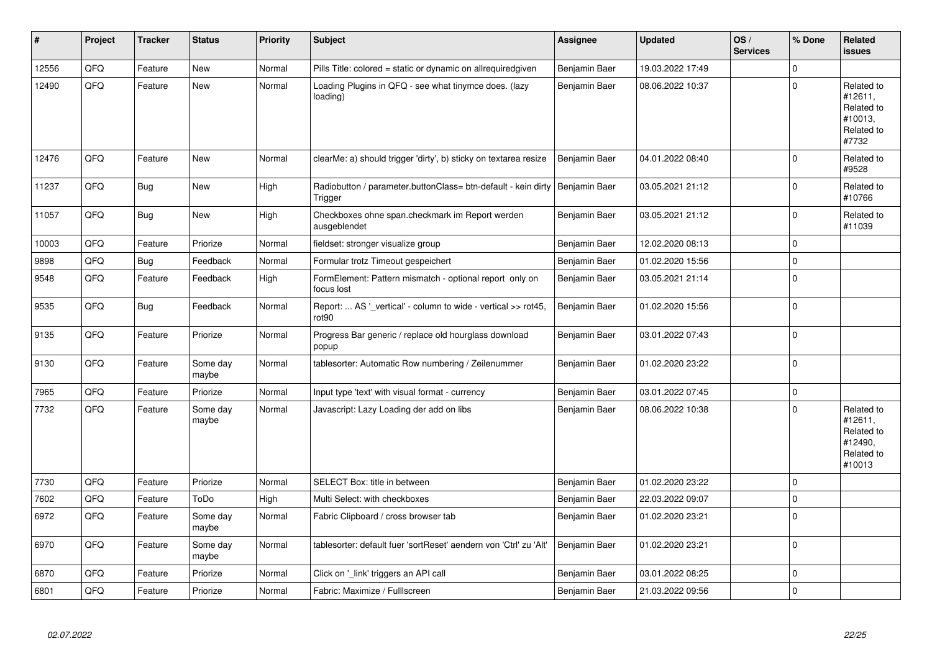| $\sharp$ | Project | <b>Tracker</b> | <b>Status</b>     | <b>Priority</b> | <b>Subject</b>                                                                     | <b>Assignee</b> | <b>Updated</b>   | OS/<br><b>Services</b> | % Done         | Related<br><b>issues</b>                                               |
|----------|---------|----------------|-------------------|-----------------|------------------------------------------------------------------------------------|-----------------|------------------|------------------------|----------------|------------------------------------------------------------------------|
| 12556    | QFQ     | Feature        | <b>New</b>        | Normal          | Pills Title: colored = static or dynamic on allrequiredgiven                       | Benjamin Baer   | 19.03.2022 17:49 |                        | 0              |                                                                        |
| 12490    | QFQ     | Feature        | <b>New</b>        | Normal          | Loading Plugins in QFQ - see what tinymce does. (lazy<br>loading)                  | Benjamin Baer   | 08.06.2022 10:37 |                        | $\Omega$       | Related to<br>#12611,<br>Related to<br>#10013,<br>Related to<br>#7732  |
| 12476    | QFQ     | Feature        | New               | Normal          | clearMe: a) should trigger 'dirty', b) sticky on textarea resize                   | Benjamin Baer   | 04.01.2022 08:40 |                        | 0              | Related to<br>#9528                                                    |
| 11237    | QFQ     | Bug            | New               | High            | Radiobutton / parameter.buttonClass= btn-default - kein dirty<br>Trigger           | Benjamin Baer   | 03.05.2021 21:12 |                        | 0              | Related to<br>#10766                                                   |
| 11057    | QFQ     | Bug            | New               | High            | Checkboxes ohne span.checkmark im Report werden<br>ausgeblendet                    | Benjamin Baer   | 03.05.2021 21:12 |                        | 0              | Related to<br>#11039                                                   |
| 10003    | QFQ     | Feature        | Priorize          | Normal          | fieldset: stronger visualize group                                                 | Benjamin Baer   | 12.02.2020 08:13 |                        | 0              |                                                                        |
| 9898     | QFQ     | Bug            | Feedback          | Normal          | Formular trotz Timeout gespeichert                                                 | Benjamin Baer   | 01.02.2020 15:56 |                        | 0              |                                                                        |
| 9548     | QFQ     | Feature        | Feedback          | High            | FormElement: Pattern mismatch - optional report only on<br>focus lost              | Benjamin Baer   | 03.05.2021 21:14 |                        | 0              |                                                                        |
| 9535     | QFQ     | Bug            | Feedback          | Normal          | Report:  AS ' vertical' - column to wide - vertical >> rot45,<br>rot <sub>90</sub> | Benjamin Baer   | 01.02.2020 15:56 |                        | 0              |                                                                        |
| 9135     | QFQ     | Feature        | Priorize          | Normal          | Progress Bar generic / replace old hourglass download<br>popup                     | Benjamin Baer   | 03.01.2022 07:43 |                        | $\overline{0}$ |                                                                        |
| 9130     | QFQ     | Feature        | Some day<br>maybe | Normal          | tablesorter: Automatic Row numbering / Zeilenummer                                 | Benjamin Baer   | 01.02.2020 23:22 |                        | 0              |                                                                        |
| 7965     | QFQ     | Feature        | Priorize          | Normal          | Input type 'text' with visual format - currency                                    | Benjamin Baer   | 03.01.2022 07:45 |                        | 0              |                                                                        |
| 7732     | QFQ     | Feature        | Some day<br>maybe | Normal          | Javascript: Lazy Loading der add on libs                                           | Benjamin Baer   | 08.06.2022 10:38 |                        | 0              | Related to<br>#12611,<br>Related to<br>#12490,<br>Related to<br>#10013 |
| 7730     | QFQ     | Feature        | Priorize          | Normal          | SELECT Box: title in between                                                       | Benjamin Baer   | 01.02.2020 23:22 |                        | $\Omega$       |                                                                        |
| 7602     | QFQ     | Feature        | ToDo              | High            | Multi Select: with checkboxes                                                      | Benjamin Baer   | 22.03.2022 09:07 |                        | 0              |                                                                        |
| 6972     | QFQ     | Feature        | Some day<br>maybe | Normal          | Fabric Clipboard / cross browser tab                                               | Benjamin Baer   | 01.02.2020 23:21 |                        | 0              |                                                                        |
| 6970     | QFQ     | Feature        | Some day<br>maybe | Normal          | tablesorter: default fuer 'sortReset' aendern von 'Ctrl' zu 'Alt'                  | Benjamin Baer   | 01.02.2020 23:21 |                        | 0              |                                                                        |
| 6870     | QFQ     | Feature        | Priorize          | Normal          | Click on '_link' triggers an API call                                              | Benjamin Baer   | 03.01.2022 08:25 |                        | 0              |                                                                        |
| 6801     | QFQ     | Feature        | Priorize          | Normal          | Fabric: Maximize / FullIscreen                                                     | Benjamin Baer   | 21.03.2022 09:56 |                        | 0              |                                                                        |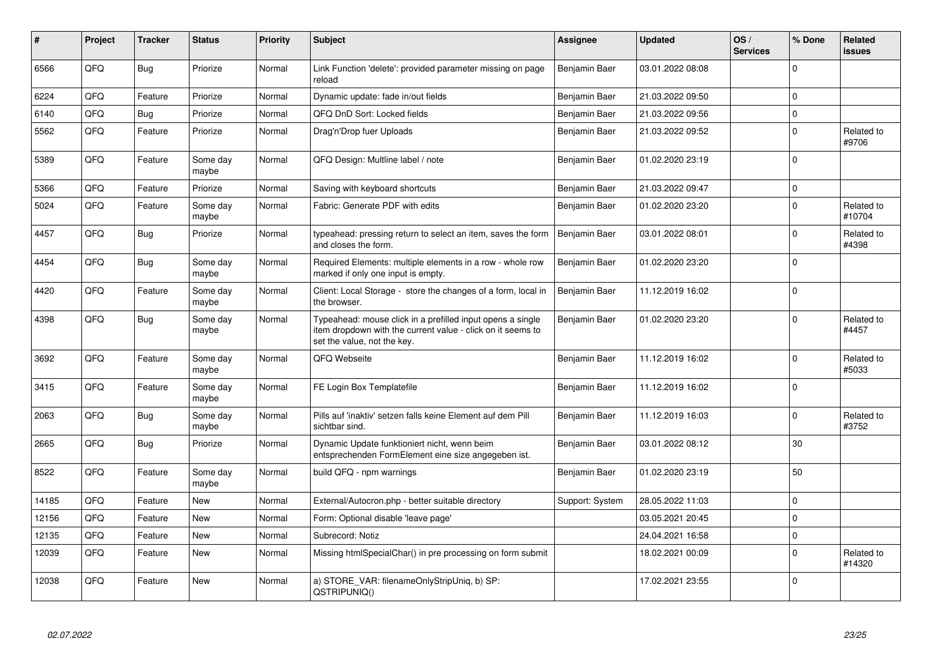| #     | Project | <b>Tracker</b> | <b>Status</b>     | <b>Priority</b> | <b>Subject</b>                                                                                                                                           | <b>Assignee</b> | <b>Updated</b>   | OS/<br><b>Services</b> | % Done      | Related<br><b>issues</b> |
|-------|---------|----------------|-------------------|-----------------|----------------------------------------------------------------------------------------------------------------------------------------------------------|-----------------|------------------|------------------------|-------------|--------------------------|
| 6566  | QFQ     | <b>Bug</b>     | Priorize          | Normal          | Link Function 'delete': provided parameter missing on page<br>reload                                                                                     | Benjamin Baer   | 03.01.2022 08:08 |                        | $\mathbf 0$ |                          |
| 6224  | QFQ     | Feature        | Priorize          | Normal          | Dynamic update: fade in/out fields                                                                                                                       | Benjamin Baer   | 21.03.2022 09:50 |                        | $\pmb{0}$   |                          |
| 6140  | QFQ     | Bug            | Priorize          | Normal          | QFQ DnD Sort: Locked fields                                                                                                                              | Benjamin Baer   | 21.03.2022 09:56 |                        | $\mathbf 0$ |                          |
| 5562  | QFQ     | Feature        | Priorize          | Normal          | Drag'n'Drop fuer Uploads                                                                                                                                 | Benjamin Baer   | 21.03.2022 09:52 |                        | $\pmb{0}$   | Related to<br>#9706      |
| 5389  | QFQ     | Feature        | Some day<br>maybe | Normal          | QFQ Design: Multline label / note                                                                                                                        | Benjamin Baer   | 01.02.2020 23:19 |                        | $\Omega$    |                          |
| 5366  | QFQ     | Feature        | Priorize          | Normal          | Saving with keyboard shortcuts                                                                                                                           | Benjamin Baer   | 21.03.2022 09:47 |                        | $\mathbf 0$ |                          |
| 5024  | QFQ     | Feature        | Some day<br>maybe | Normal          | Fabric: Generate PDF with edits                                                                                                                          | Benjamin Baer   | 01.02.2020 23:20 |                        | $\pmb{0}$   | Related to<br>#10704     |
| 4457  | QFQ     | Bug            | Priorize          | Normal          | typeahead: pressing return to select an item, saves the form<br>and closes the form.                                                                     | Benjamin Baer   | 03.01.2022 08:01 |                        | $\pmb{0}$   | Related to<br>#4398      |
| 4454  | QFQ     | <b>Bug</b>     | Some day<br>maybe | Normal          | Required Elements: multiple elements in a row - whole row<br>marked if only one input is empty.                                                          | Benjamin Baer   | 01.02.2020 23:20 |                        | $\mathbf 0$ |                          |
| 4420  | QFQ     | Feature        | Some day<br>maybe | Normal          | Client: Local Storage - store the changes of a form, local in<br>the browser.                                                                            | Benjamin Baer   | 11.12.2019 16:02 |                        | $\mathbf 0$ |                          |
| 4398  | QFQ     | <b>Bug</b>     | Some day<br>maybe | Normal          | Typeahead: mouse click in a prefilled input opens a single<br>item dropdown with the current value - click on it seems to<br>set the value, not the key. | Benjamin Baer   | 01.02.2020 23:20 |                        | $\Omega$    | Related to<br>#4457      |
| 3692  | QFQ     | Feature        | Some day<br>maybe | Normal          | QFQ Webseite                                                                                                                                             | Benjamin Baer   | 11.12.2019 16:02 |                        | $\mathbf 0$ | Related to<br>#5033      |
| 3415  | QFQ     | Feature        | Some day<br>maybe | Normal          | FE Login Box Templatefile                                                                                                                                | Benjamin Baer   | 11.12.2019 16:02 |                        | $\mathbf 0$ |                          |
| 2063  | QFQ     | <b>Bug</b>     | Some day<br>maybe | Normal          | Pills auf 'inaktiv' setzen falls keine Element auf dem Pill<br>sichtbar sind.                                                                            | Benjamin Baer   | 11.12.2019 16:03 |                        | $\pmb{0}$   | Related to<br>#3752      |
| 2665  | QFQ     | Bug            | Priorize          | Normal          | Dynamic Update funktioniert nicht, wenn beim<br>entsprechenden FormElement eine size angegeben ist.                                                      | Benjamin Baer   | 03.01.2022 08:12 |                        | 30          |                          |
| 8522  | QFQ     | Feature        | Some day<br>maybe | Normal          | build QFQ - npm warnings                                                                                                                                 | Benjamin Baer   | 01.02.2020 23:19 |                        | 50          |                          |
| 14185 | QFQ     | Feature        | <b>New</b>        | Normal          | External/Autocron.php - better suitable directory                                                                                                        | Support: System | 28.05.2022 11:03 |                        | $\pmb{0}$   |                          |
| 12156 | QFQ     | Feature        | <b>New</b>        | Normal          | Form: Optional disable 'leave page'                                                                                                                      |                 | 03.05.2021 20:45 |                        | $\mathbf 0$ |                          |
| 12135 | QFQ     | Feature        | <b>New</b>        | Normal          | Subrecord: Notiz                                                                                                                                         |                 | 24.04.2021 16:58 |                        | $\pmb{0}$   |                          |
| 12039 | QFQ     | Feature        | <b>New</b>        | Normal          | Missing htmlSpecialChar() in pre processing on form submit                                                                                               |                 | 18.02.2021 00:09 |                        | $\mathbf 0$ | Related to<br>#14320     |
| 12038 | QFQ     | Feature        | New               | Normal          | a) STORE VAR: filenameOnlyStripUniq, b) SP:<br>QSTRIPUNIQ()                                                                                              |                 | 17.02.2021 23:55 |                        | $\mathbf 0$ |                          |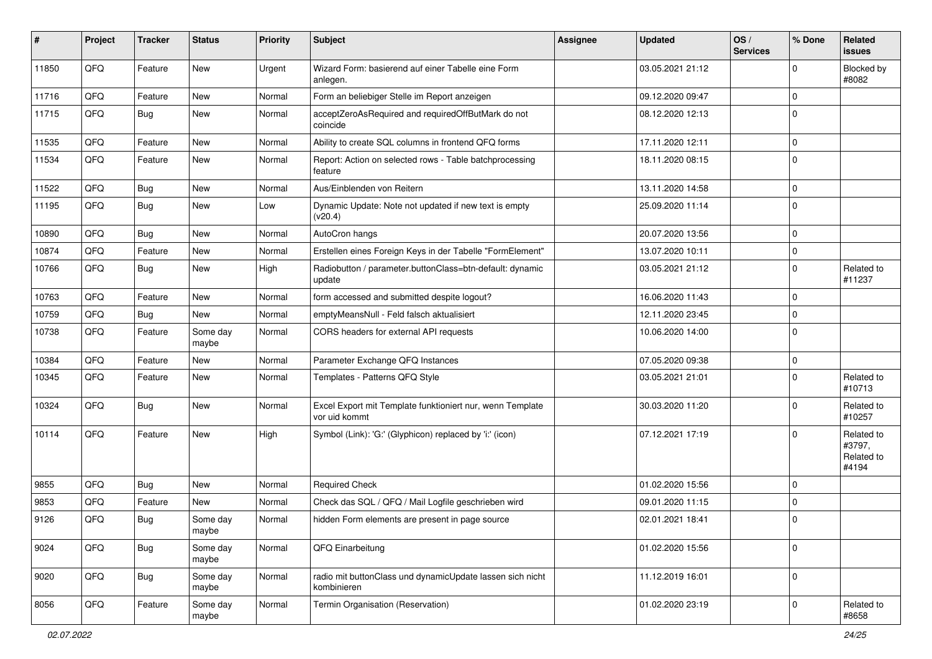| #     | Project | <b>Tracker</b> | <b>Status</b>     | <b>Priority</b> | <b>Subject</b>                                                             | <b>Assignee</b> | <b>Updated</b>   | OS/<br><b>Services</b> | % Done      | Related<br>issues                           |
|-------|---------|----------------|-------------------|-----------------|----------------------------------------------------------------------------|-----------------|------------------|------------------------|-------------|---------------------------------------------|
| 11850 | QFQ     | Feature        | New               | Urgent          | Wizard Form: basierend auf einer Tabelle eine Form<br>anlegen.             |                 | 03.05.2021 21:12 |                        | $\mathbf 0$ | Blocked by<br>#8082                         |
| 11716 | QFQ     | Feature        | New               | Normal          | Form an beliebiger Stelle im Report anzeigen                               |                 | 09.12.2020 09:47 |                        | 0           |                                             |
| 11715 | QFQ     | Bug            | New               | Normal          | acceptZeroAsRequired and requiredOffButMark do not<br>coincide             |                 | 08.12.2020 12:13 |                        | 0           |                                             |
| 11535 | QFQ     | Feature        | New               | Normal          | Ability to create SQL columns in frontend QFQ forms                        |                 | 17.11.2020 12:11 |                        | $\pmb{0}$   |                                             |
| 11534 | QFQ     | Feature        | New               | Normal          | Report: Action on selected rows - Table batchprocessing<br>feature         |                 | 18.11.2020 08:15 |                        | $\mathbf 0$ |                                             |
| 11522 | QFQ     | <b>Bug</b>     | New               | Normal          | Aus/Einblenden von Reitern                                                 |                 | 13.11.2020 14:58 |                        | $\pmb{0}$   |                                             |
| 11195 | QFQ     | <b>Bug</b>     | New               | Low             | Dynamic Update: Note not updated if new text is empty<br>(v20.4)           |                 | 25.09.2020 11:14 |                        | $\mathbf 0$ |                                             |
| 10890 | QFQ     | <b>Bug</b>     | New               | Normal          | AutoCron hangs                                                             |                 | 20.07.2020 13:56 |                        | $\pmb{0}$   |                                             |
| 10874 | QFQ     | Feature        | New               | Normal          | Erstellen eines Foreign Keys in der Tabelle "FormElement"                  |                 | 13.07.2020 10:11 |                        | $\pmb{0}$   |                                             |
| 10766 | QFQ     | Bug            | New               | High            | Radiobutton / parameter.buttonClass=btn-default: dynamic<br>update         |                 | 03.05.2021 21:12 |                        | $\mathbf 0$ | Related to<br>#11237                        |
| 10763 | QFQ     | Feature        | New               | Normal          | form accessed and submitted despite logout?                                |                 | 16.06.2020 11:43 |                        | 0           |                                             |
| 10759 | QFQ     | Bug            | New               | Normal          | emptyMeansNull - Feld falsch aktualisiert                                  |                 | 12.11.2020 23:45 |                        | $\mathbf 0$ |                                             |
| 10738 | QFQ     | Feature        | Some day<br>maybe | Normal          | CORS headers for external API requests                                     |                 | 10.06.2020 14:00 |                        | $\mathbf 0$ |                                             |
| 10384 | QFQ     | Feature        | New               | Normal          | Parameter Exchange QFQ Instances                                           |                 | 07.05.2020 09:38 |                        | $\mathbf 0$ |                                             |
| 10345 | QFQ     | Feature        | New               | Normal          | Templates - Patterns QFQ Style                                             |                 | 03.05.2021 21:01 |                        | $\mathbf 0$ | Related to<br>#10713                        |
| 10324 | QFQ     | <b>Bug</b>     | New               | Normal          | Excel Export mit Template funktioniert nur, wenn Template<br>vor uid kommt |                 | 30.03.2020 11:20 |                        | $\mathbf 0$ | Related to<br>#10257                        |
| 10114 | QFQ     | Feature        | New               | High            | Symbol (Link): 'G:' (Glyphicon) replaced by 'i:' (icon)                    |                 | 07.12.2021 17:19 |                        | $\mathbf 0$ | Related to<br>#3797,<br>Related to<br>#4194 |
| 9855  | QFQ     | <b>Bug</b>     | New               | Normal          | <b>Required Check</b>                                                      |                 | 01.02.2020 15:56 |                        | 0           |                                             |
| 9853  | QFQ     | Feature        | New               | Normal          | Check das SQL / QFQ / Mail Logfile geschrieben wird                        |                 | 09.01.2020 11:15 |                        | $\mathbf 0$ |                                             |
| 9126  | QFQ     | <b>Bug</b>     | Some day<br>maybe | Normal          | hidden Form elements are present in page source                            |                 | 02.01.2021 18:41 |                        | $\mathbf 0$ |                                             |
| 9024  | QFQ     | Bug            | Some day<br>maybe | Normal          | QFQ Einarbeitung                                                           |                 | 01.02.2020 15:56 |                        | $\mathbf 0$ |                                             |
| 9020  | QFQ     | Bug            | Some day<br>maybe | Normal          | radio mit buttonClass und dynamicUpdate lassen sich nicht<br>kombinieren   |                 | 11.12.2019 16:01 |                        | $\pmb{0}$   |                                             |
| 8056  | QFQ     | Feature        | Some day<br>maybe | Normal          | Termin Organisation (Reservation)                                          |                 | 01.02.2020 23:19 |                        | $\pmb{0}$   | Related to<br>#8658                         |